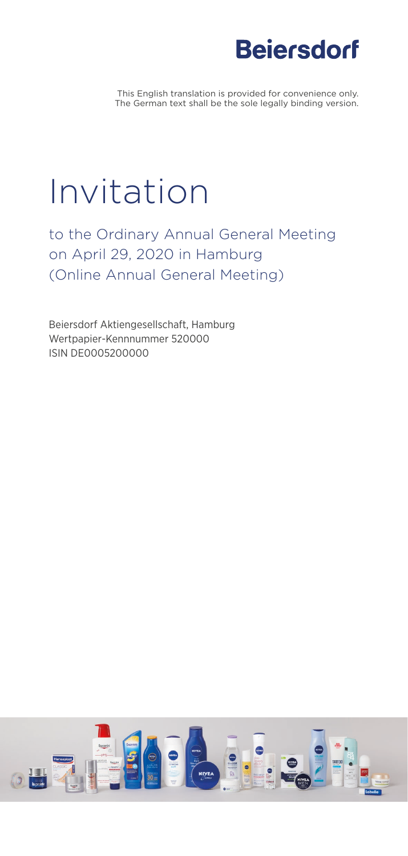# **Beiersdorf**

This English translation is provided for convenience only. The German text shall be the sole legally binding version.

# Invitation

to the Ordinary Annual General Meeting on April 29, 2020 in Hamburg (Online Annual General Meeting)

Beiersdorf Aktiengesellschaft, Hamburg Wertpapier-Kennnummer 520000 ISIN DE0005200000

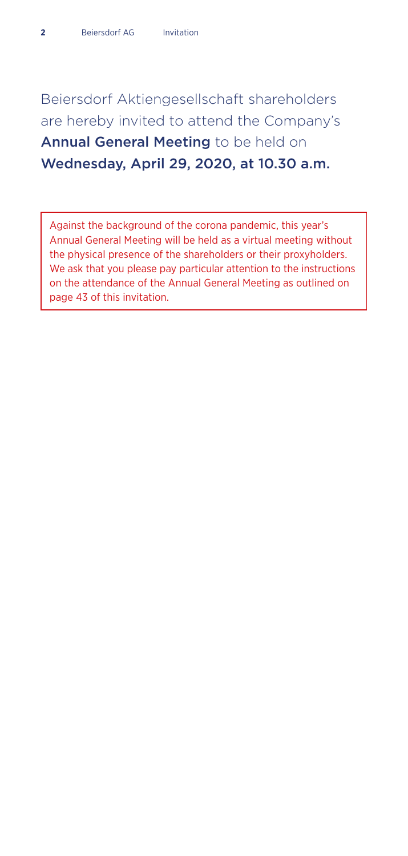Beiersdorf Aktiengesellschaft shareholders are hereby invited to attend the Company's Annual General Meeting to be held on Wednesday, April 29, 2020, at 10.30 a.m.

Against the background of the corona pandemic, this year's Annual General Meeting will be held as a virtual meeting without the physical presence of the shareholders or their proxyholders. We ask that you please pay particular attention to the instructions on the attendance of the Annual General Meeting as outlined on page 43 of this invitation.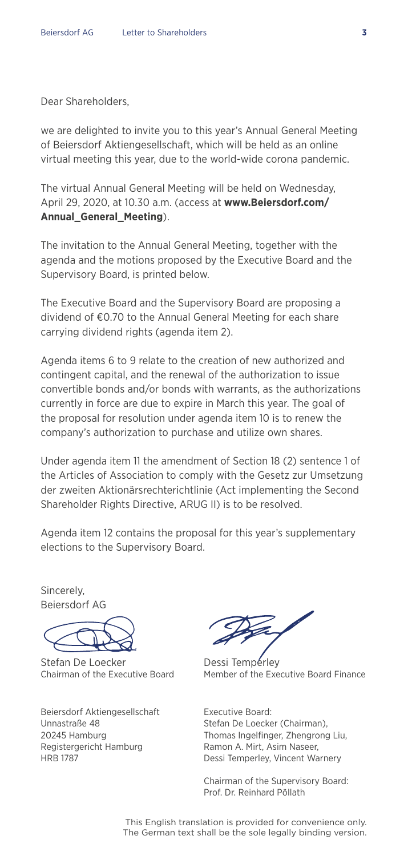Dear Shareholders,

we are delighted to invite you to this year's Annual General Meeting of Beiersdorf Aktiengesellschaft, which will be held as an online virtual meeting this year, due to the world-wide corona pandemic.

The virtual Annual General Meeting will be held on Wednesday, April 29, 2020, at 10.30 a.m. (access at **www.Beiersdorf.com/ Annual\_General\_Meeting**).

The invitation to the Annual General Meeting, together with the agenda and the motions proposed by the Executive Board and the Supervisory Board, is printed below.

The Executive Board and the Supervisory Board are proposing a dividend of €0.70 to the Annual General Meeting for each share carrying dividend rights (agenda item 2).

Agenda items 6 to 9 relate to the creation of new authorized and contingent capital, and the renewal of the authorization to issue convertible bonds and/or bonds with warrants, as the authorizations currently in force are due to expire in March this year. The goal of the proposal for resolution under agenda item 10 is to renew the company's authorization to purchase and utilize own shares.

Under agenda item 11 the amendment of Section 18 (2) sentence 1 of the Articles of Association to comply with the Gesetz zur Umsetzung der zweiten Aktionärsrechterichtlinie (Act implementing the Second Shareholder Rights Directive, ARUG II) is to be resolved.

Agenda item 12 contains the proposal for this year's supplementary elections to the Supervisory Board.

**Sincerely** Beiersdorf AG

Stefan De Loecker Dessi Temperley

Beiersdorf Aktiengesellschaft Unnastraße 48 20245 Hamburg Registergericht Hamburg HRB 1787

Member of the Executive Board Finance

Executive Board: Stefan De Loecker (Chairman), Thomas Ingelfinger, Zhengrong Liu, Ramon A. Mirt, Asim Naseer, Dessi Temperley, Vincent Warnery

Chairman of the Supervisory Board: Prof. Dr. Reinhard Pöllath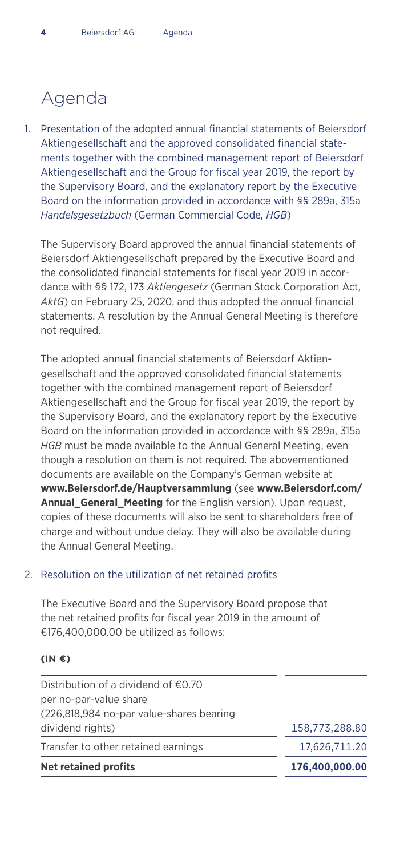### Agenda

Presentation of the adopted annual financial statements of Beiersdorf 1. Aktiengesellschaft and the approved consolidated financial statements together with the combined management report of Beiersdorf Aktiengesellschaft and the Group for fiscal year 2019, the report by the Supervisory Board, and the explanatory report by the Executive Board on the information provided in accordance with §§ 289a, 315a *Handelsgesetzbuch* (German Commercial Code, *HGB*)

The Supervisory Board approved the annual financial statements of Beiersdorf Aktiengesellschaft prepared by the Executive Board and the consolidated financial statements for fiscal year 2019 in accordance with §§ 172, 173 *Aktiengesetz* (German Stock Corporation Act, *AktG*) on February 25, 2020, and thus adopted the annual financial statements. A resolution by the Annual General Meeting is therefore not required.

The adopted annual financial statements of Beiersdorf Aktiengesellschaft and the approved consolidated financial statements together with the combined management report of Beiersdorf Aktiengesellschaft and the Group for fiscal year 2019, the report by the Supervisory Board, and the explanatory report by the Executive Board on the information provided in accordance with §§ 289a, 315a *HGB* must be made available to the Annual General Meeting, even though a resolution on them is not required. The abovementioned documents are available on the Company's German website at **www.Beiersdorf.de/Hauptversammlung** (see **www.Beiersdorf.com/ Annual\_General\_Meeting** for the English version). Upon request, copies of these documents will also be sent to shareholders free of charge and without undue delay. They will also be available during the Annual General Meeting.

#### 2. Resolution on the utilization of net retained profits

The Executive Board and the Supervisory Board propose that the net retained profits for fiscal year 2019 in the amount of €176,400,000.00 be utilized as follows:

| $(IN \mathbf{\epsilon})$                      |                |
|-----------------------------------------------|----------------|
| Distribution of a dividend of $\epsilon$ 0.70 |                |
| per no-par-value share                        |                |
| (226,818,984 no-par value-shares bearing      |                |
| dividend rights)                              | 158,773,288.80 |
| Transfer to other retained earnings           | 17.626.711.20  |
| <b>Net retained profits</b>                   | 176,400,000.00 |
|                                               |                |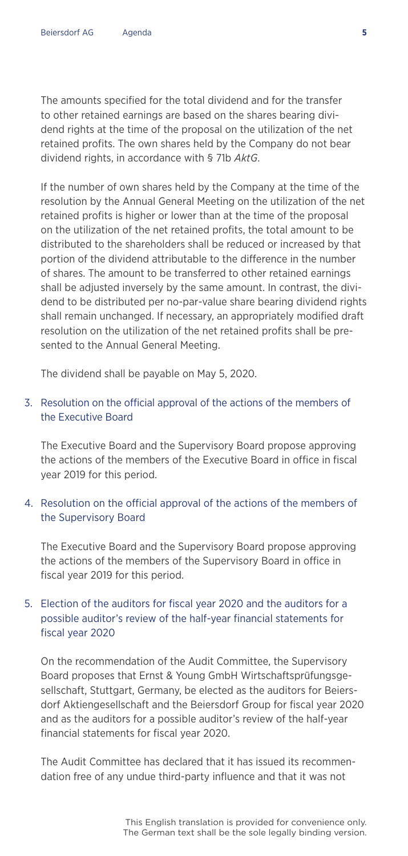The amounts specified for the total dividend and for the transfer to other retained earnings are based on the shares bearing dividend rights at the time of the proposal on the utilization of the net retained profits. The own shares held by the Company do not bear dividend rights, in accordance with § 71b *AktG*.

If the number of own shares held by the Company at the time of the resolution by the Annual General Meeting on the utilization of the net retained profits is higher or lower than at the time of the proposal on the utilization of the net retained profits, the total amount to be distributed to the shareholders shall be reduced or increased by that portion of the dividend attributable to the difference in the number of shares. The amount to be transferred to other retained earnings shall be adjusted inversely by the same amount. In contrast, the dividend to be distributed per no-par-value share bearing dividend rights shall remain unchanged. If necessary, an appropriately modified draft resolution on the utilization of the net retained profits shall be presented to the Annual General Meeting.

The dividend shall be payable on May 5, 2020.

#### 3. Resolution on the official approval of the actions of the members of the Executive Board

The Executive Board and the Supervisory Board propose approving the actions of the members of the Executive Board in office in fiscal year 2019 for this period.

#### 4. Resolution on the official approval of the actions of the members of the Supervisory Board

The Executive Board and the Supervisory Board propose approving the actions of the members of the Supervisory Board in office in fiscal year 2019 for this period.

#### 5. Election of the auditors for fiscal year 2020 and the auditors for a possible auditor's review of the half-year financial statements for fiscal year 2020

On the recommendation of the Audit Committee, the Supervisory Board proposes that Ernst & Young GmbH Wirtschaftsprüfungsgesellschaft, Stuttgart, Germany, be elected as the auditors for Beiersdorf Aktiengesellschaft and the Beiersdorf Group for fiscal year 2020 and as the auditors for a possible auditor's review of the half-year financial statements for fiscal year 2020.

The Audit Committee has declared that it has issued its recommendation free of any undue third-party influence and that it was not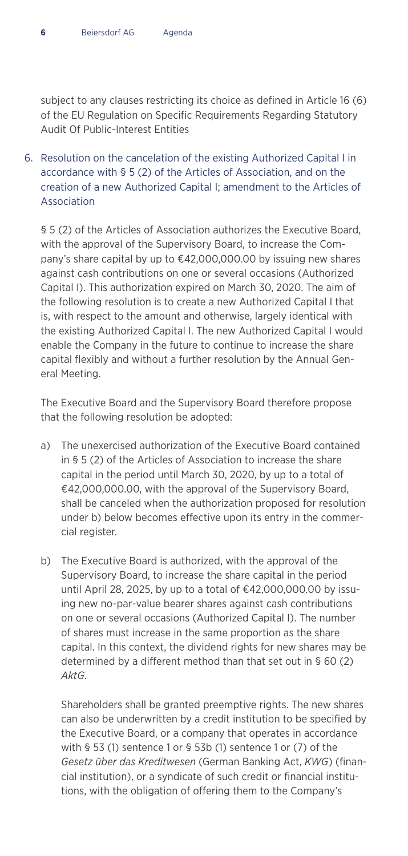subject to any clauses restricting its choice as defined in Article 16 (6) of the EU Regulation on Specific Requirements Regarding Statutory Audit Of Public-Interest Entities

6. Resolution on the cancelation of the existing Authorized Capital I in accordance with § 5 (2) of the Articles of Association, and on the creation of a new Authorized Capital I; amendment to the Articles of Association

§ 5 (2) of the Articles of Association authorizes the Executive Board, with the approval of the Supervisory Board, to increase the Company's share capital by up to €42,000,000.00 by issuing new shares against cash contributions on one or several occasions (Authorized Capital I). This authorization expired on March 30, 2020. The aim of the following resolution is to create a new Authorized Capital I that is, with respect to the amount and otherwise, largely identical with the existing Authorized Capital I. The new Authorized Capital I would enable the Company in the future to continue to increase the share capital flexibly and without a further resolution by the Annual General Meeting.

The Executive Board and the Supervisory Board therefore propose that the following resolution be adopted:

- a) The unexercised authorization of the Executive Board contained in § 5 (2) of the Articles of Association to increase the share capital in the period until March 30, 2020, by up to a total of €42,000,000.00, with the approval of the Supervisory Board, shall be canceled when the authorization proposed for resolution under b) below becomes effective upon its entry in the commercial register.
- b) The Executive Board is authorized, with the approval of the Supervisory Board, to increase the share capital in the period until April 28, 2025, by up to a total of €42,000,000.00 by issuing new no-par-value bearer shares against cash contributions on one or several occasions (Authorized Capital I). The number of shares must increase in the same proportion as the share capital. In this context, the dividend rights for new shares may be determined by a different method than that set out in § 60 (2) *AktG*.

 Shareholders shall be granted preemptive rights. The new shares can also be underwritten by a credit institution to be specified by the Executive Board, or a company that operates in accordance with § 53 (1) sentence 1 or § 53b (1) sentence 1 or (7) of the *Gesetz über das Kreditwesen* (German Banking Act, *KWG*) (financial institution), or a syndicate of such credit or financial institutions, with the obligation of offering them to the Company's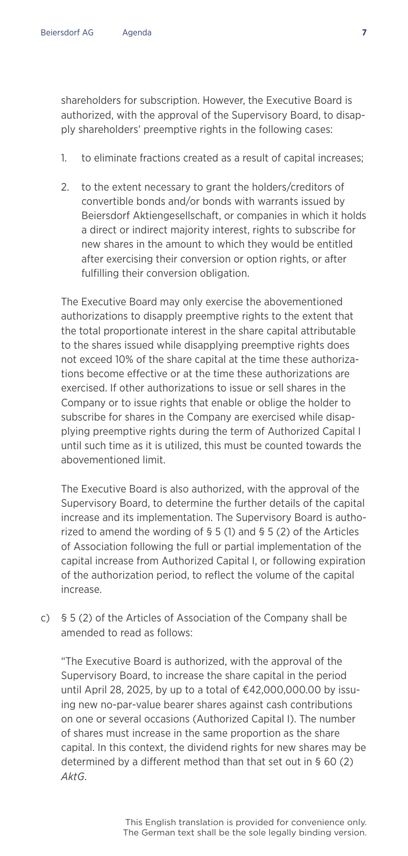shareholders for subscription. However, the Executive Board is authorized, with the approval of the Supervisory Board, to disapply shareholders' preemptive rights in the following cases:

- 1. to eliminate fractions created as a result of capital increases;
- 2. to the extent necessary to grant the holders/creditors of convertible bonds and/or bonds with warrants issued by Beiersdorf Aktiengesellschaft, or companies in which it holds a direct or indirect majority interest, rights to subscribe for new shares in the amount to which they would be entitled after exercising their conversion or option rights, or after fulfilling their conversion obligation.

 The Executive Board may only exercise the abovementioned authorizations to disapply preemptive rights to the extent that the total proportionate interest in the share capital attributable to the shares issued while disapplying preemptive rights does not exceed 10% of the share capital at the time these authorizations become effective or at the time these authorizations are exercised. If other authorizations to issue or sell shares in the Company or to issue rights that enable or oblige the holder to subscribe for shares in the Company are exercised while disapplying preemptive rights during the term of Authorized Capital I until such time as it is utilized, this must be counted towards the abovementioned limit.

 The Executive Board is also authorized, with the approval of the Supervisory Board, to determine the further details of the capital increase and its implementation. The Supervisory Board is authorized to amend the wording of § 5 (1) and § 5 (2) of the Articles of Association following the full or partial implementation of the capital increase from Authorized Capital I, or following expiration of the authorization period, to reflect the volume of the capital increase.

c) § 5 (2) of the Articles of Association of the Company shall be amended to read as follows:

 "The Executive Board is authorized, with the approval of the Supervisory Board, to increase the share capital in the period until April 28, 2025, by up to a total of €42,000,000.00 by issuing new no-par-value bearer shares against cash contributions on one or several occasions (Authorized Capital I). The number of shares must increase in the same proportion as the share capital. In this context, the dividend rights for new shares may be determined by a different method than that set out in § 60 (2) *AktG*.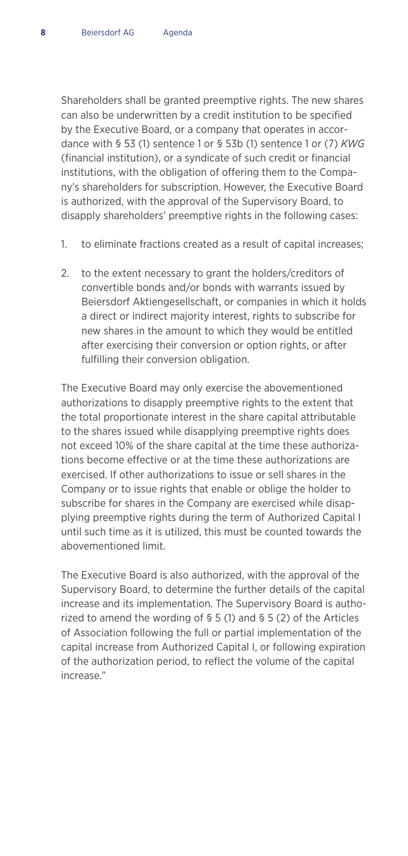Shareholders shall be granted preemptive rights. The new shares can also be underwritten by a credit institution to be specified by the Executive Board, or a company that operates in accordance with § 53 (1) sentence 1 or § 53b (1) sentence 1 or (7) *KWG* (financial institution), or a syndicate of such credit or financial institutions, with the obligation of offering them to the Company's shareholders for subscription. However, the Executive Board is authorized, with the approval of the Supervisory Board, to disapply shareholders' preemptive rights in the following cases:

- 1. to eliminate fractions created as a result of capital increases;
- 2. to the extent necessary to grant the holders/creditors of convertible bonds and/or bonds with warrants issued by Beiersdorf Aktiengesellschaft, or companies in which it holds a direct or indirect majority interest, rights to subscribe for new shares in the amount to which they would be entitled after exercising their conversion or option rights, or after fulfilling their conversion obligation.

 The Executive Board may only exercise the abovementioned authorizations to disapply preemptive rights to the extent that the total proportionate interest in the share capital attributable to the shares issued while disapplying preemptive rights does not exceed 10% of the share capital at the time these authorizations become effective or at the time these authorizations are exercised. If other authorizations to issue or sell shares in the Company or to issue rights that enable or oblige the holder to subscribe for shares in the Company are exercised while disapplying preemptive rights during the term of Authorized Capital I until such time as it is utilized, this must be counted towards the abovementioned limit.

 The Executive Board is also authorized, with the approval of the Supervisory Board, to determine the further details of the capital increase and its implementation. The Supervisory Board is authorized to amend the wording of § 5 (1) and § 5 (2) of the Articles of Association following the full or partial implementation of the capital increase from Authorized Capital I, or following expiration of the authorization period, to reflect the volume of the capital increase."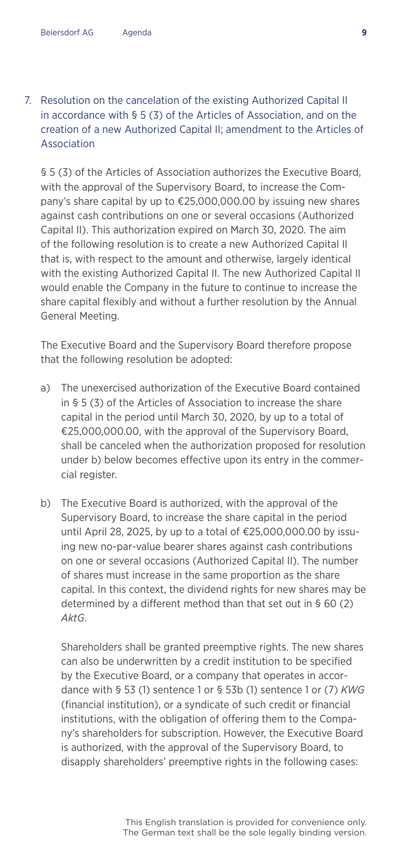#### 7. Resolution on the cancelation of the existing Authorized Capital II in accordance with § 5 (3) of the Articles of Association, and on the creation of a new Authorized Capital II; amendment to the Articles of Association

§ 5 (3) of the Articles of Association authorizes the Executive Board, with the approval of the Supervisory Board, to increase the Company's share capital by up to €25,000,000.00 by issuing new shares against cash contributions on one or several occasions (Authorized Capital II). This authorization expired on March 30, 2020. The aim of the following resolution is to create a new Authorized Capital II that is, with respect to the amount and otherwise, largely identical with the existing Authorized Capital II. The new Authorized Capital II would enable the Company in the future to continue to increase the share capital flexibly and without a further resolution by the Annual General Meeting.

The Executive Board and the Supervisory Board therefore propose that the following resolution be adopted:

- a) The unexercised authorization of the Executive Board contained in § 5 (3) of the Articles of Association to increase the share capital in the period until March 30, 2020, by up to a total of €25,000,000.00, with the approval of the Supervisory Board, shall be canceled when the authorization proposed for resolution under b) below becomes effective upon its entry in the commercial register.
- b) The Executive Board is authorized, with the approval of the Supervisory Board, to increase the share capital in the period until April 28, 2025, by up to a total of €25,000,000.00 by issuing new no-par-value bearer shares against cash contributions on one or several occasions (Authorized Capital II). The number of shares must increase in the same proportion as the share capital. In this context, the dividend rights for new shares may be determined by a different method than that set out in § 60 (2) *AktG*.

 Shareholders shall be granted preemptive rights. The new shares can also be underwritten by a credit institution to be specified by the Executive Board, or a company that operates in accordance with § 53 (1) sentence 1 or § 53b (1) sentence 1 or (7) *KWG* (financial institution), or a syndicate of such credit or financial institutions, with the obligation of offering them to the Company's shareholders for subscription. However, the Executive Board is authorized, with the approval of the Supervisory Board, to disapply shareholders' preemptive rights in the following cases: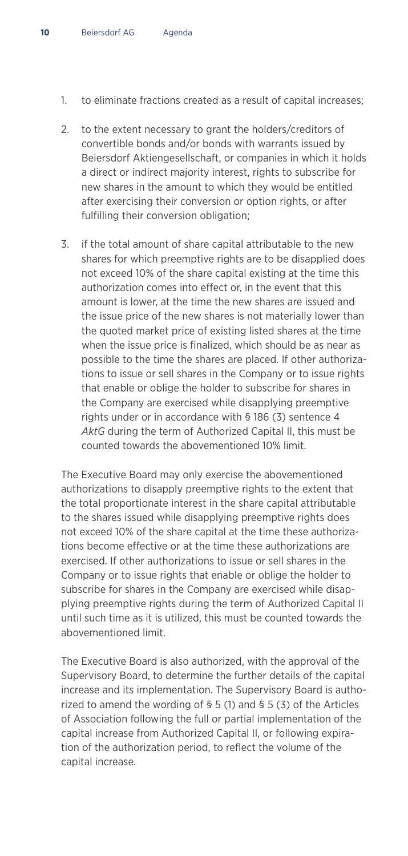- 1. to eliminate fractions created as a result of capital increases;
- 2. to the extent necessary to grant the holders/creditors of convertible bonds and/or bonds with warrants issued by Beiersdorf Aktiengesellschaft, or companies in which it holds a direct or indirect majority interest, rights to subscribe for new shares in the amount to which they would be entitled after exercising their conversion or option rights, or after fulfilling their conversion obligation;
- 3. if the total amount of share capital attributable to the new shares for which preemptive rights are to be disapplied does not exceed 10% of the share capital existing at the time this authorization comes into effect or, in the event that this amount is lower, at the time the new shares are issued and the issue price of the new shares is not materially lower than the quoted market price of existing listed shares at the time when the issue price is finalized, which should be as near as possible to the time the shares are placed. If other authorizations to issue or sell shares in the Company or to issue rights that enable or oblige the holder to subscribe for shares in the Company are exercised while disapplying preemptive rights under or in accordance with § 186 (3) sentence 4 *AktG* during the term of Authorized Capital II, this must be counted towards the abovementioned 10% limit.

 The Executive Board may only exercise the abovementioned authorizations to disapply preemptive rights to the extent that the total proportionate interest in the share capital attributable to the shares issued while disapplying preemptive rights does not exceed 10% of the share capital at the time these authorizations become effective or at the time these authorizations are exercised. If other authorizations to issue or sell shares in the Company or to issue rights that enable or oblige the holder to subscribe for shares in the Company are exercised while disapplying preemptive rights during the term of Authorized Capital II until such time as it is utilized, this must be counted towards the abovementioned limit.

 The Executive Board is also authorized, with the approval of the Supervisory Board, to determine the further details of the capital increase and its implementation. The Supervisory Board is authorized to amend the wording of § 5 (1) and § 5 (3) of the Articles of Association following the full or partial implementation of the capital increase from Authorized Capital II, or following expiration of the authorization period, to reflect the volume of the capital increase.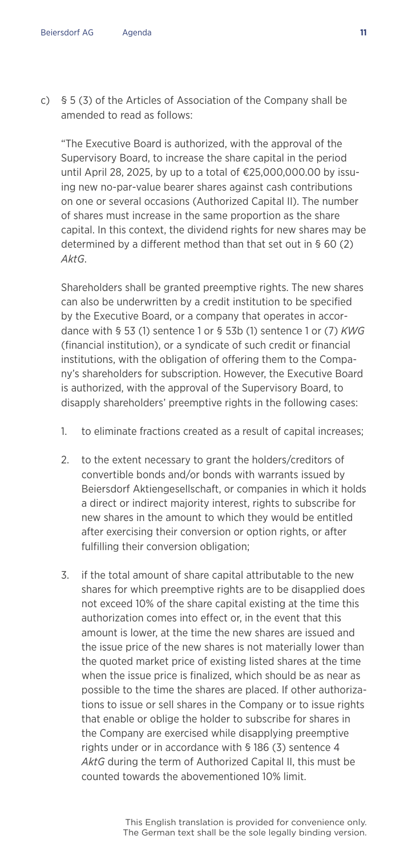c) § 5 (3) of the Articles of Association of the Company shall be amended to read as follows:

 "The Executive Board is authorized, with the approval of the Supervisory Board, to increase the share capital in the period until April 28, 2025, by up to a total of €25,000,000.00 by issuing new no-par-value bearer shares against cash contributions on one or several occasions (Authorized Capital II). The number of shares must increase in the same proportion as the share capital. In this context, the dividend rights for new shares may be determined by a different method than that set out in § 60 (2) *AktG*.

 Shareholders shall be granted preemptive rights. The new shares can also be underwritten by a credit institution to be specified by the Executive Board, or a company that operates in accordance with § 53 (1) sentence 1 or § 53b (1) sentence 1 or (7) *KWG* (financial institution), or a syndicate of such credit or financial institutions, with the obligation of offering them to the Company's shareholders for subscription. However, the Executive Board is authorized, with the approval of the Supervisory Board, to disapply shareholders' preemptive rights in the following cases:

- 1. to eliminate fractions created as a result of capital increases;
- 2. to the extent necessary to grant the holders/creditors of convertible bonds and/or bonds with warrants issued by Beiersdorf Aktiengesellschaft, or companies in which it holds a direct or indirect majority interest, rights to subscribe for new shares in the amount to which they would be entitled after exercising their conversion or option rights, or after fulfilling their conversion obligation;
- 3. if the total amount of share capital attributable to the new shares for which preemptive rights are to be disapplied does not exceed 10% of the share capital existing at the time this authorization comes into effect or, in the event that this amount is lower, at the time the new shares are issued and the issue price of the new shares is not materially lower than the quoted market price of existing listed shares at the time when the issue price is finalized, which should be as near as possible to the time the shares are placed. If other authorizations to issue or sell shares in the Company or to issue rights that enable or oblige the holder to subscribe for shares in the Company are exercised while disapplying preemptive rights under or in accordance with § 186 (3) sentence 4 *AktG* during the term of Authorized Capital II, this must be counted towards the abovementioned 10% limit.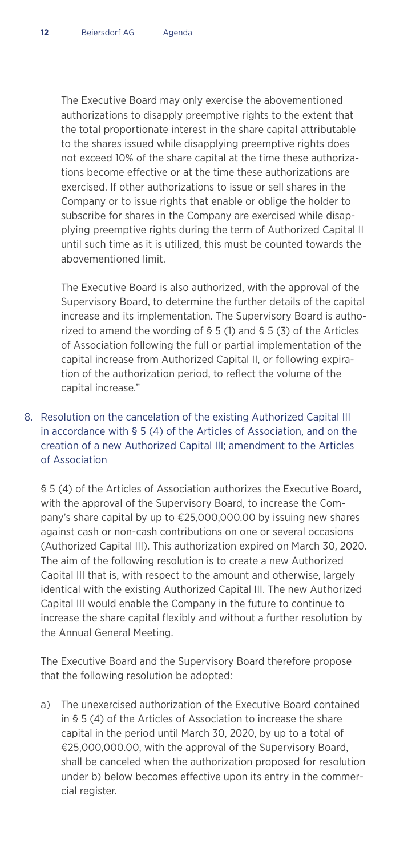The Executive Board may only exercise the abovementioned authorizations to disapply preemptive rights to the extent that the total proportionate interest in the share capital attributable to the shares issued while disapplying preemptive rights does not exceed 10% of the share capital at the time these authorizations become effective or at the time these authorizations are exercised. If other authorizations to issue or sell shares in the Company or to issue rights that enable or oblige the holder to subscribe for shares in the Company are exercised while disapplying preemptive rights during the term of Authorized Capital II until such time as it is utilized, this must be counted towards the abovementioned limit.

 The Executive Board is also authorized, with the approval of the Supervisory Board, to determine the further details of the capital increase and its implementation. The Supervisory Board is authorized to amend the wording of § 5 (1) and § 5 (3) of the Articles of Association following the full or partial implementation of the capital increase from Authorized Capital II, or following expiration of the authorization period, to reflect the volume of the capital increase."

#### 8. Resolution on the cancelation of the existing Authorized Capital III in accordance with § 5 (4) of the Articles of Association, and on the creation of a new Authorized Capital III; amendment to the Articles of Association

§ 5 (4) of the Articles of Association authorizes the Executive Board, with the approval of the Supervisory Board, to increase the Company's share capital by up to €25,000,000.00 by issuing new shares against cash or non-cash contributions on one or several occasions (Authorized Capital III). This authorization expired on March 30, 2020. The aim of the following resolution is to create a new Authorized Capital III that is, with respect to the amount and otherwise, largely identical with the existing Authorized Capital III. The new Authorized Capital III would enable the Company in the future to continue to increase the share capital flexibly and without a further resolution by the Annual General Meeting.

The Executive Board and the Supervisory Board therefore propose that the following resolution be adopted:

a) The unexercised authorization of the Executive Board contained in § 5 (4) of the Articles of Association to increase the share capital in the period until March 30, 2020, by up to a total of €25,000,000.00, with the approval of the Supervisory Board, shall be canceled when the authorization proposed for resolution under b) below becomes effective upon its entry in the commercial register.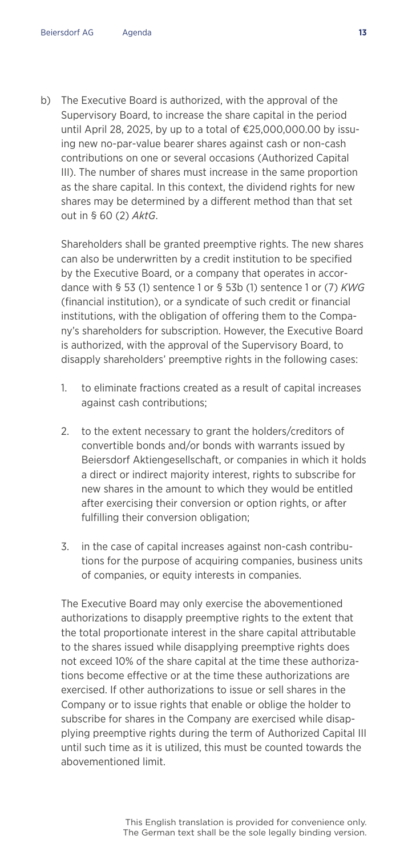b) The Executive Board is authorized, with the approval of the Supervisory Board, to increase the share capital in the period until April 28, 2025, by up to a total of €25,000,000.00 by issuing new no-par-value bearer shares against cash or non-cash contributions on one or several occasions (Authorized Capital III). The number of shares must increase in the same proportion as the share capital. In this context, the dividend rights for new shares may be determined by a different method than that set out in § 60 (2) *AktG*.

 Shareholders shall be granted preemptive rights. The new shares can also be underwritten by a credit institution to be specified by the Executive Board, or a company that operates in accordance with § 53 (1) sentence 1 or § 53b (1) sentence 1 or (7) *KWG* (financial institution), or a syndicate of such credit or financial institutions, with the obligation of offering them to the Company's shareholders for subscription. However, the Executive Board is authorized, with the approval of the Supervisory Board, to disapply shareholders' preemptive rights in the following cases:

- 1. to eliminate fractions created as a result of capital increases against cash contributions;
- 2. to the extent necessary to grant the holders/creditors of convertible bonds and/or bonds with warrants issued by Beiersdorf Aktiengesellschaft, or companies in which it holds a direct or indirect majority interest, rights to subscribe for new shares in the amount to which they would be entitled after exercising their conversion or option rights, or after fulfilling their conversion obligation;
- 3. in the case of capital increases against non-cash contributions for the purpose of acquiring companies, business units of companies, or equity interests in companies.

 The Executive Board may only exercise the abovementioned authorizations to disapply preemptive rights to the extent that the total proportionate interest in the share capital attributable to the shares issued while disapplying preemptive rights does not exceed 10% of the share capital at the time these authorizations become effective or at the time these authorizations are exercised. If other authorizations to issue or sell shares in the Company or to issue rights that enable or oblige the holder to subscribe for shares in the Company are exercised while disapplying preemptive rights during the term of Authorized Capital III until such time as it is utilized, this must be counted towards the abovementioned limit.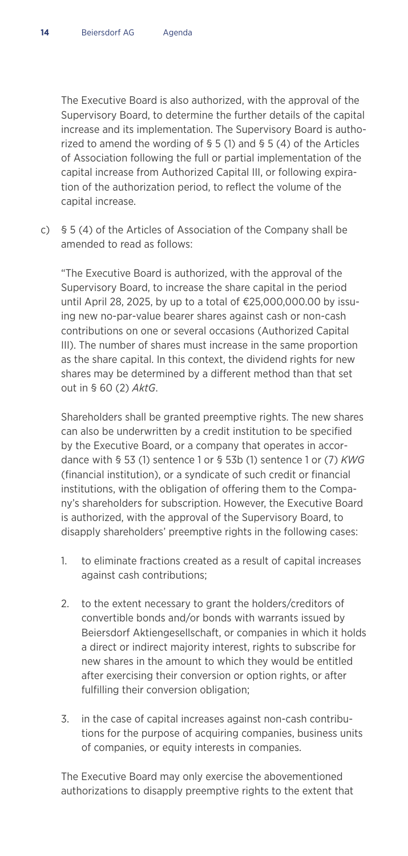The Executive Board is also authorized, with the approval of the Supervisory Board, to determine the further details of the capital increase and its implementation. The Supervisory Board is authorized to amend the wording of § 5 (1) and § 5 (4) of the Articles of Association following the full or partial implementation of the capital increase from Authorized Capital III, or following expiration of the authorization period, to reflect the volume of the capital increase.

c) § 5 (4) of the Articles of Association of the Company shall be amended to read as follows:

 "The Executive Board is authorized, with the approval of the Supervisory Board, to increase the share capital in the period until April 28, 2025, by up to a total of €25,000,000.00 by issuing new no-par-value bearer shares against cash or non-cash contributions on one or several occasions (Authorized Capital III). The number of shares must increase in the same proportion as the share capital. In this context, the dividend rights for new shares may be determined by a different method than that set out in § 60 (2) *AktG*.

 Shareholders shall be granted preemptive rights. The new shares can also be underwritten by a credit institution to be specified by the Executive Board, or a company that operates in accordance with § 53 (1) sentence 1 or § 53b (1) sentence 1 or (7) *KWG* (financial institution), or a syndicate of such credit or financial institutions, with the obligation of offering them to the Company's shareholders for subscription. However, the Executive Board is authorized, with the approval of the Supervisory Board, to disapply shareholders' preemptive rights in the following cases:

- 1. to eliminate fractions created as a result of capital increases against cash contributions;
- 2. to the extent necessary to grant the holders/creditors of convertible bonds and/or bonds with warrants issued by Beiersdorf Aktiengesellschaft, or companies in which it holds a direct or indirect majority interest, rights to subscribe for new shares in the amount to which they would be entitled after exercising their conversion or option rights, or after fulfilling their conversion obligation;
- 3. in the case of capital increases against non-cash contributions for the purpose of acquiring companies, business units of companies, or equity interests in companies.

 The Executive Board may only exercise the abovementioned authorizations to disapply preemptive rights to the extent that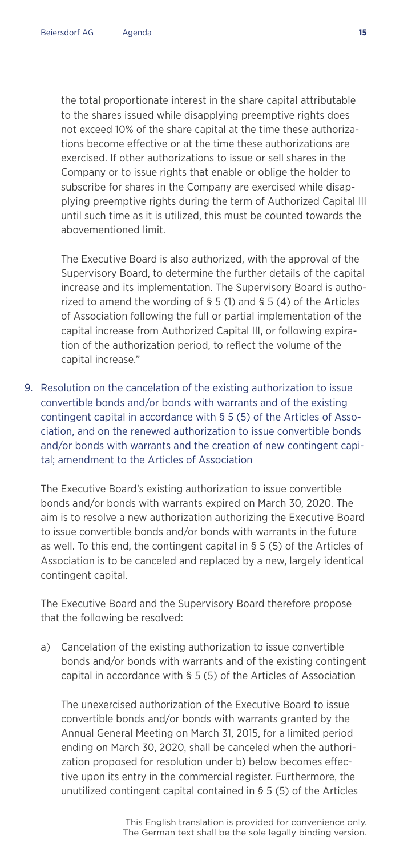the total proportionate interest in the share capital attributable to the shares issued while disapplying preemptive rights does not exceed 10% of the share capital at the time these authorizations become effective or at the time these authorizations are exercised. If other authorizations to issue or sell shares in the Company or to issue rights that enable or oblige the holder to subscribe for shares in the Company are exercised while disapplying preemptive rights during the term of Authorized Capital III until such time as it is utilized, this must be counted towards the abovementioned limit.

 The Executive Board is also authorized, with the approval of the Supervisory Board, to determine the further details of the capital increase and its implementation. The Supervisory Board is authorized to amend the wording of § 5 (1) and § 5 (4) of the Articles of Association following the full or partial implementation of the capital increase from Authorized Capital III, or following expiration of the authorization period, to reflect the volume of the capital increase."

9. Resolution on the cancelation of the existing authorization to issue convertible bonds and/or bonds with warrants and of the existing contingent capital in accordance with § 5 (5) of the Articles of Association, and on the renewed authorization to issue convertible bonds and/or bonds with warrants and the creation of new contingent capital; amendment to the Articles of Association

The Executive Board's existing authorization to issue convertible bonds and/or bonds with warrants expired on March 30, 2020. The aim is to resolve a new authorization authorizing the Executive Board to issue convertible bonds and/or bonds with warrants in the future as well. To this end, the contingent capital in § 5 (5) of the Articles of Association is to be canceled and replaced by a new, largely identical contingent capital.

The Executive Board and the Supervisory Board therefore propose that the following be resolved:

a) Cancelation of the existing authorization to issue convertible bonds and/or bonds with warrants and of the existing contingent capital in accordance with § 5 (5) of the Articles of Association

 The unexercised authorization of the Executive Board to issue convertible bonds and/or bonds with warrants granted by the Annual General Meeting on March 31, 2015, for a limited period ending on March 30, 2020, shall be canceled when the authorization proposed for resolution under b) below becomes effective upon its entry in the commercial register. Furthermore, the unutilized contingent capital contained in § 5 (5) of the Articles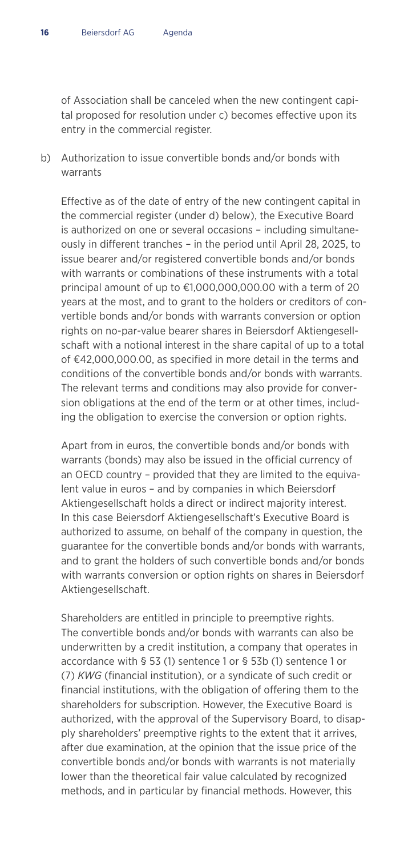of Association shall be canceled when the new contingent capital proposed for resolution under c) becomes effective upon its entry in the commercial register.

b) Authorization to issue convertible bonds and/or bonds with warrants

 Effective as of the date of entry of the new contingent capital in the commercial register (under d) below), the Executive Board is authorized on one or several occasions – including simultaneously in different tranches – in the period until April 28, 2025, to issue bearer and/or registered convertible bonds and/or bonds with warrants or combinations of these instruments with a total principal amount of up to €1,000,000,000.00 with a term of 20 years at the most, and to grant to the holders or creditors of convertible bonds and/or bonds with warrants conversion or option rights on no-par-value bearer shares in Beiersdorf Aktiengesellschaft with a notional interest in the share capital of up to a total of €42,000,000.00, as specified in more detail in the terms and conditions of the convertible bonds and/or bonds with warrants. The relevant terms and conditions may also provide for conversion obligations at the end of the term or at other times, including the obligation to exercise the conversion or option rights.

 Apart from in euros, the convertible bonds and/or bonds with warrants (bonds) may also be issued in the official currency of an OECD country – provided that they are limited to the equivalent value in euros – and by companies in which Beiersdorf Aktiengesellschaft holds a direct or indirect majority interest. In this case Beiersdorf Aktiengesellschaft's Executive Board is authorized to assume, on behalf of the company in question, the guarantee for the convertible bonds and/or bonds with warrants, and to grant the holders of such convertible bonds and/or bonds with warrants conversion or option rights on shares in Beiersdorf Aktiengesellschaft.

 Shareholders are entitled in principle to preemptive rights. The convertible bonds and/or bonds with warrants can also be underwritten by a credit institution, a company that operates in accordance with § 53 (1) sentence 1 or § 53b (1) sentence 1 or (7) *KWG* (financial institution), or a syndicate of such credit or financial institutions, with the obligation of offering them to the shareholders for subscription. However, the Executive Board is authorized, with the approval of the Supervisory Board, to disapply shareholders' preemptive rights to the extent that it arrives, after due examination, at the opinion that the issue price of the convertible bonds and/or bonds with warrants is not materially lower than the theoretical fair value calculated by recognized methods, and in particular by financial methods. However, this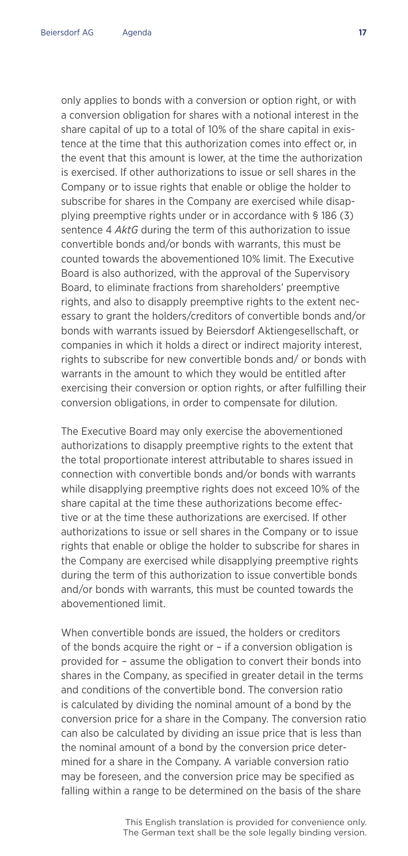only applies to bonds with a conversion or option right, or with a conversion obligation for shares with a notional interest in the share capital of up to a total of 10% of the share capital in existence at the time that this authorization comes into effect or, in the event that this amount is lower, at the time the authorization is exercised. If other authorizations to issue or sell shares in the Company or to issue rights that enable or oblige the holder to subscribe for shares in the Company are exercised while disapplying preemptive rights under or in accordance with § 186 (3) sentence 4 *AktG* during the term of this authorization to issue convertible bonds and/or bonds with warrants, this must be counted towards the abovementioned 10% limit. The Executive Board is also authorized, with the approval of the Supervisory Board, to eliminate fractions from shareholders' preemptive rights, and also to disapply preemptive rights to the extent necessary to grant the holders/creditors of convertible bonds and/or bonds with warrants issued by Beiersdorf Aktiengesellschaft, or companies in which it holds a direct or indirect majority interest, rights to subscribe for new convertible bonds and/ or bonds with warrants in the amount to which they would be entitled after exercising their conversion or option rights, or after fulfilling their conversion obligations, in order to compensate for dilution.

 The Executive Board may only exercise the abovementioned authorizations to disapply preemptive rights to the extent that the total proportionate interest attributable to shares issued in connection with convertible bonds and/or bonds with warrants while disapplying preemptive rights does not exceed 10% of the share capital at the time these authorizations become effective or at the time these authorizations are exercised. If other authorizations to issue or sell shares in the Company or to issue rights that enable or oblige the holder to subscribe for shares in the Company are exercised while disapplying preemptive rights during the term of this authorization to issue convertible bonds and/or bonds with warrants, this must be counted towards the abovementioned limit.

When convertible bonds are issued, the holders or creditors of the bonds acquire the right or – if a conversion obligation is provided for – assume the obligation to convert their bonds into shares in the Company, as specified in greater detail in the terms and conditions of the convertible bond. The conversion ratio is calculated by dividing the nominal amount of a bond by the conversion price for a share in the Company. The conversion ratio can also be calculated by dividing an issue price that is less than the nominal amount of a bond by the conversion price determined for a share in the Company. A variable conversion ratio may be foreseen, and the conversion price may be specified as falling within a range to be determined on the basis of the share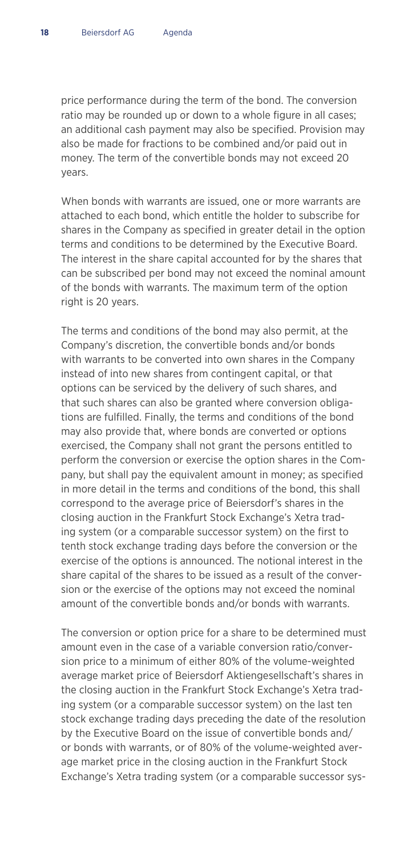price performance during the term of the bond. The conversion ratio may be rounded up or down to a whole figure in all cases; an additional cash payment may also be specified. Provision may also be made for fractions to be combined and/or paid out in money. The term of the convertible bonds may not exceed 20 years.

 When bonds with warrants are issued, one or more warrants are attached to each bond, which entitle the holder to subscribe for shares in the Company as specified in greater detail in the option terms and conditions to be determined by the Executive Board. The interest in the share capital accounted for by the shares that can be subscribed per bond may not exceed the nominal amount of the bonds with warrants. The maximum term of the option right is 20 years.

 The terms and conditions of the bond may also permit, at the Company's discretion, the convertible bonds and/or bonds with warrants to be converted into own shares in the Company instead of into new shares from contingent capital, or that options can be serviced by the delivery of such shares, and that such shares can also be granted where conversion obligations are fulfilled. Finally, the terms and conditions of the bond may also provide that, where bonds are converted or options exercised, the Company shall not grant the persons entitled to perform the conversion or exercise the option shares in the Company, but shall pay the equivalent amount in money; as specified in more detail in the terms and conditions of the bond, this shall correspond to the average price of Beiersdorf's shares in the closing auction in the Frankfurt Stock Exchange's Xetra trading system (or a comparable successor system) on the first to tenth stock exchange trading days before the conversion or the exercise of the options is announced. The notional interest in the share capital of the shares to be issued as a result of the conversion or the exercise of the options may not exceed the nominal amount of the convertible bonds and/or bonds with warrants.

 The conversion or option price for a share to be determined must amount even in the case of a variable conversion ratio/conversion price to a minimum of either 80% of the volume-weighted average market price of Beiersdorf Aktiengesellschaft's shares in the closing auction in the Frankfurt Stock Exchange's Xetra trading system (or a comparable successor system) on the last ten stock exchange trading days preceding the date of the resolution by the Executive Board on the issue of convertible bonds and/ or bonds with warrants, or of 80% of the volume-weighted average market price in the closing auction in the Frankfurt Stock Exchange's Xetra trading system (or a comparable successor sys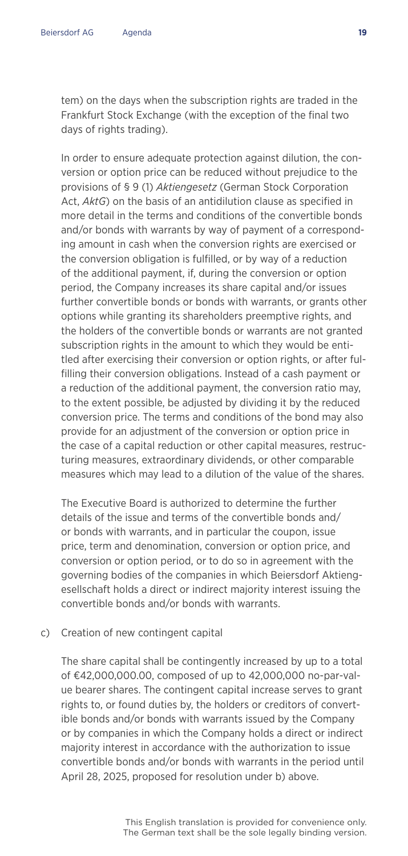tem) on the days when the subscription rights are traded in the Frankfurt Stock Exchange (with the exception of the final two days of rights trading).

 In order to ensure adequate protection against dilution, the conversion or option price can be reduced without prejudice to the provisions of § 9 (1) *Aktiengesetz* (German Stock Corporation Act, *AktG*) on the basis of an antidilution clause as specified in more detail in the terms and conditions of the convertible bonds and/or bonds with warrants by way of payment of a corresponding amount in cash when the conversion rights are exercised or the conversion obligation is fulfilled, or by way of a reduction of the additional payment, if, during the conversion or option period, the Company increases its share capital and/or issues further convertible bonds or bonds with warrants, or grants other options while granting its shareholders preemptive rights, and the holders of the convertible bonds or warrants are not granted subscription rights in the amount to which they would be entitled after exercising their conversion or option rights, or after fulfilling their conversion obligations. Instead of a cash payment or a reduction of the additional payment, the conversion ratio may, to the extent possible, be adjusted by dividing it by the reduced conversion price. The terms and conditions of the bond may also provide for an adjustment of the conversion or option price in the case of a capital reduction or other capital measures, restructuring measures, extraordinary dividends, or other comparable measures which may lead to a dilution of the value of the shares.

 The Executive Board is authorized to determine the further details of the issue and terms of the convertible bonds and/ or bonds with warrants, and in particular the coupon, issue price, term and denomination, conversion or option price, and conversion or option period, or to do so in agreement with the governing bodies of the companies in which Beiersdorf Aktiengesellschaft holds a direct or indirect majority interest issuing the convertible bonds and/or bonds with warrants.

#### c) Creation of new contingent capital

 The share capital shall be contingently increased by up to a total of €42,000,000.00, composed of up to 42,000,000 no-par-value bearer shares. The contingent capital increase serves to grant rights to, or found duties by, the holders or creditors of convertible bonds and/or bonds with warrants issued by the Company or by companies in which the Company holds a direct or indirect majority interest in accordance with the authorization to issue convertible bonds and/or bonds with warrants in the period until April 28, 2025, proposed for resolution under b) above.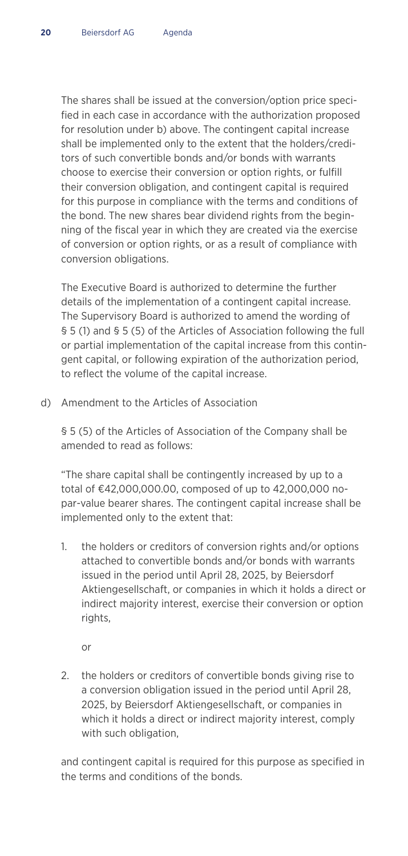The shares shall be issued at the conversion/option price specified in each case in accordance with the authorization proposed for resolution under b) above. The contingent capital increase shall be implemented only to the extent that the holders/creditors of such convertible bonds and/or bonds with warrants choose to exercise their conversion or option rights, or fulfill their conversion obligation, and contingent capital is required for this purpose in compliance with the terms and conditions of the bond. The new shares bear dividend rights from the beginning of the fiscal year in which they are created via the exercise of conversion or option rights, or as a result of compliance with conversion obligations.

 The Executive Board is authorized to determine the further details of the implementation of a contingent capital increase. The Supervisory Board is authorized to amend the wording of § 5 (1) and § 5 (5) of the Articles of Association following the full or partial implementation of the capital increase from this contingent capital, or following expiration of the authorization period, to reflect the volume of the capital increase.

d) Amendment to the Articles of Association

 § 5 (5) of the Articles of Association of the Company shall be amended to read as follows:

 "The share capital shall be contingently increased by up to a total of €42,000,000.00, composed of up to 42,000,000 nopar-value bearer shares. The contingent capital increase shall be implemented only to the extent that:

1. the holders or creditors of conversion rights and/or options attached to convertible bonds and/or bonds with warrants issued in the period until April 28, 2025, by Beiersdorf Aktiengesellschaft, or companies in which it holds a direct or indirect majority interest, exercise their conversion or option rights,

or

2. the holders or creditors of convertible bonds giving rise to a conversion obligation issued in the period until April 28, 2025, by Beiersdorf Aktiengesellschaft, or companies in which it holds a direct or indirect majority interest, comply with such obligation,

 and contingent capital is required for this purpose as specified in the terms and conditions of the bonds.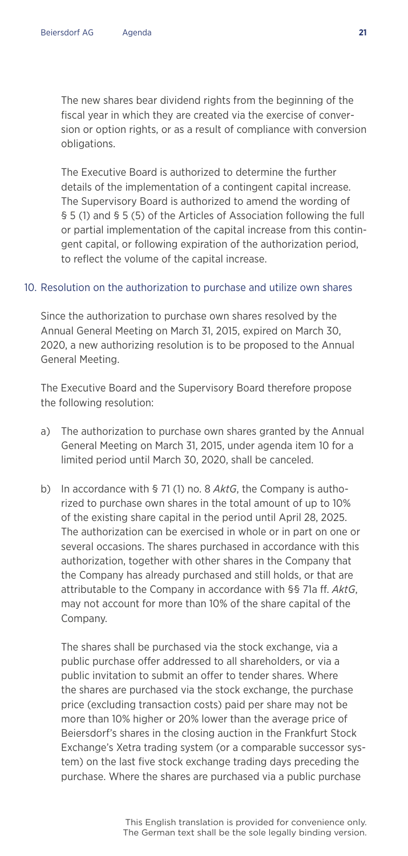The new shares bear dividend rights from the beginning of the fiscal year in which they are created via the exercise of conversion or option rights, or as a result of compliance with conversion obligations.

 The Executive Board is authorized to determine the further details of the implementation of a contingent capital increase. The Supervisory Board is authorized to amend the wording of § 5 (1) and § 5 (5) of the Articles of Association following the full or partial implementation of the capital increase from this contingent capital, or following expiration of the authorization period, to reflect the volume of the capital increase.

#### 10. Resolution on the authorization to purchase and utilize own shares

Since the authorization to purchase own shares resolved by the Annual General Meeting on March 31, 2015, expired on March 30, 2020, a new authorizing resolution is to be proposed to the Annual General Meeting.

The Executive Board and the Supervisory Board therefore propose the following resolution:

- a) The authorization to purchase own shares granted by the Annual General Meeting on March 31, 2015, under agenda item 10 for a limited period until March 30, 2020, shall be canceled.
- b) In accordance with § 71 (1) no. 8 *AktG*, the Company is authorized to purchase own shares in the total amount of up to 10% of the existing share capital in the period until April 28, 2025. The authorization can be exercised in whole or in part on one or several occasions. The shares purchased in accordance with this authorization, together with other shares in the Company that the Company has already purchased and still holds, or that are attributable to the Company in accordance with §§ 71a ff. *AktG*, may not account for more than 10% of the share capital of the Company.

 The shares shall be purchased via the stock exchange, via a public purchase offer addressed to all shareholders, or via a public invitation to submit an offer to tender shares. Where the shares are purchased via the stock exchange, the purchase price (excluding transaction costs) paid per share may not be more than 10% higher or 20% lower than the average price of Beiersdorf's shares in the closing auction in the Frankfurt Stock Exchange's Xetra trading system (or a comparable successor system) on the last five stock exchange trading days preceding the purchase. Where the shares are purchased via a public purchase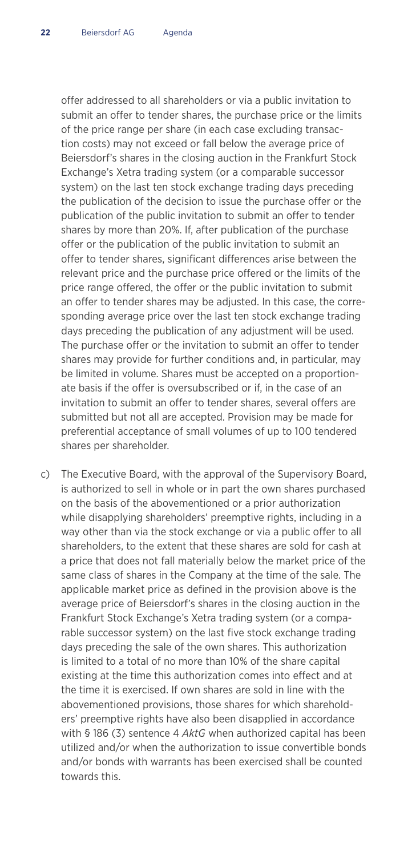offer addressed to all shareholders or via a public invitation to submit an offer to tender shares, the purchase price or the limits of the price range per share (in each case excluding transaction costs) may not exceed or fall below the average price of Beiersdorf's shares in the closing auction in the Frankfurt Stock Exchange's Xetra trading system (or a comparable successor system) on the last ten stock exchange trading days preceding the publication of the decision to issue the purchase offer or the publication of the public invitation to submit an offer to tender shares by more than 20%. If, after publication of the purchase offer or the publication of the public invitation to submit an offer to tender shares, significant differences arise between the relevant price and the purchase price offered or the limits of the price range offered, the offer or the public invitation to submit an offer to tender shares may be adjusted. In this case, the corresponding average price over the last ten stock exchange trading days preceding the publication of any adjustment will be used. The purchase offer or the invitation to submit an offer to tender shares may provide for further conditions and, in particular, may be limited in volume. Shares must be accepted on a proportionate basis if the offer is oversubscribed or if, in the case of an invitation to submit an offer to tender shares, several offers are submitted but not all are accepted. Provision may be made for preferential acceptance of small volumes of up to 100 tendered shares per shareholder.

c) The Executive Board, with the approval of the Supervisory Board, is authorized to sell in whole or in part the own shares purchased on the basis of the abovementioned or a prior authorization while disapplying shareholders' preemptive rights, including in a way other than via the stock exchange or via a public offer to all shareholders, to the extent that these shares are sold for cash at a price that does not fall materially below the market price of the same class of shares in the Company at the time of the sale. The applicable market price as defined in the provision above is the average price of Beiersdorf's shares in the closing auction in the Frankfurt Stock Exchange's Xetra trading system (or a comparable successor system) on the last five stock exchange trading days preceding the sale of the own shares. This authorization is limited to a total of no more than 10% of the share capital existing at the time this authorization comes into effect and at the time it is exercised. If own shares are sold in line with the abovementioned provisions, those shares for which shareholders' preemptive rights have also been disapplied in accordance with § 186 (3) sentence 4 *AktG* when authorized capital has been utilized and/or when the authorization to issue convertible bonds and/or bonds with warrants has been exercised shall be counted towards this.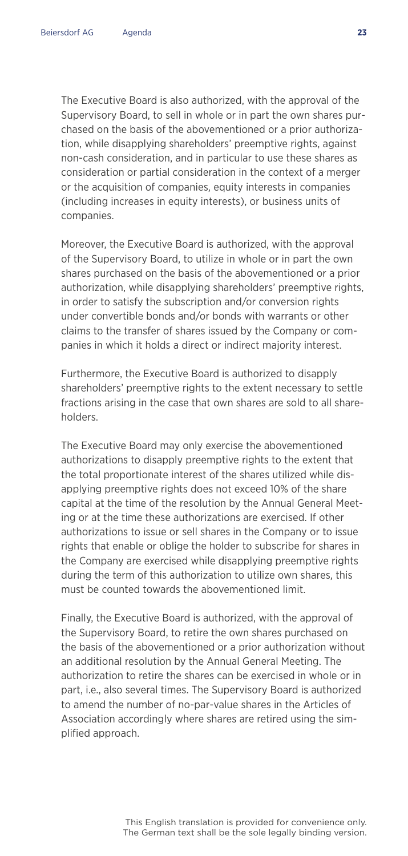The Executive Board is also authorized, with the approval of the Supervisory Board, to sell in whole or in part the own shares purchased on the basis of the abovementioned or a prior authorization, while disapplying shareholders' preemptive rights, against non-cash consideration, and in particular to use these shares as consideration or partial consideration in the context of a merger or the acquisition of companies, equity interests in companies (including increases in equity interests), or business units of companies.

 Moreover, the Executive Board is authorized, with the approval of the Supervisory Board, to utilize in whole or in part the own shares purchased on the basis of the abovementioned or a prior authorization, while disapplying shareholders' preemptive rights, in order to satisfy the subscription and/or conversion rights under convertible bonds and/or bonds with warrants or other claims to the transfer of shares issued by the Company or companies in which it holds a direct or indirect majority interest.

 Furthermore, the Executive Board is authorized to disapply shareholders' preemptive rights to the extent necessary to settle fractions arising in the case that own shares are sold to all shareholders.

 The Executive Board may only exercise the abovementioned authorizations to disapply preemptive rights to the extent that the total proportionate interest of the shares utilized while disapplying preemptive rights does not exceed 10% of the share capital at the time of the resolution by the Annual General Meeting or at the time these authorizations are exercised. If other authorizations to issue or sell shares in the Company or to issue rights that enable or oblige the holder to subscribe for shares in the Company are exercised while disapplying preemptive rights during the term of this authorization to utilize own shares, this must be counted towards the abovementioned limit.

 Finally, the Executive Board is authorized, with the approval of the Supervisory Board, to retire the own shares purchased on the basis of the abovementioned or a prior authorization without an additional resolution by the Annual General Meeting. The authorization to retire the shares can be exercised in whole or in part, i.e., also several times. The Supervisory Board is authorized to amend the number of no-par-value shares in the Articles of Association accordingly where shares are retired using the simplified approach.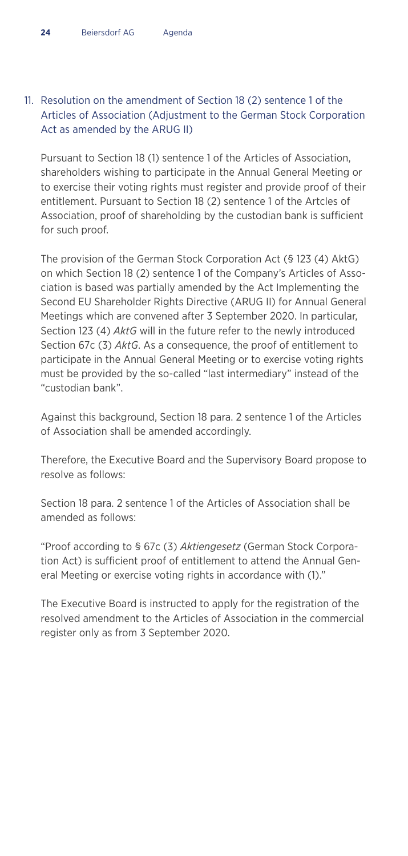#### 11. Resolution on the amendment of Section 18 (2) sentence 1 of the Articles of Association (Adjustment to the German Stock Corporation Act as amended by the ARUG II)

Pursuant to Section 18 (1) sentence 1 of the Articles of Association, shareholders wishing to participate in the Annual General Meeting or to exercise their voting rights must register and provide proof of their entitlement. Pursuant to Section 18 (2) sentence 1 of the Artcles of Association, proof of shareholding by the custodian bank is sufficient for such proof.

The provision of the German Stock Corporation Act (§ 123 (4) AktG) on which Section 18 (2) sentence 1 of the Company's Articles of Association is based was partially amended by the Act Implementing the Second EU Shareholder Rights Directive (ARUG II) for Annual General Meetings which are convened after 3 September 2020. In particular, Section 123 (4) *AktG* will in the future refer to the newly introduced Section 67c (3) *AktG*. As a consequence, the proof of entitlement to participate in the Annual General Meeting or to exercise voting rights must be provided by the so-called "last intermediary" instead of the "custodian bank".

Against this background, Section 18 para. 2 sentence 1 of the Articles of Association shall be amended accordingly.

Therefore, the Executive Board and the Supervisory Board propose to resolve as follows:

Section 18 para. 2 sentence 1 of the Articles of Association shall be amended as follows:

"Proof according to § 67c (3) *Aktiengesetz* (German Stock Corporation Act) is sufficient proof of entitlement to attend the Annual General Meeting or exercise voting rights in accordance with (1)."

The Executive Board is instructed to apply for the registration of the resolved amendment to the Articles of Association in the commercial register only as from 3 September 2020.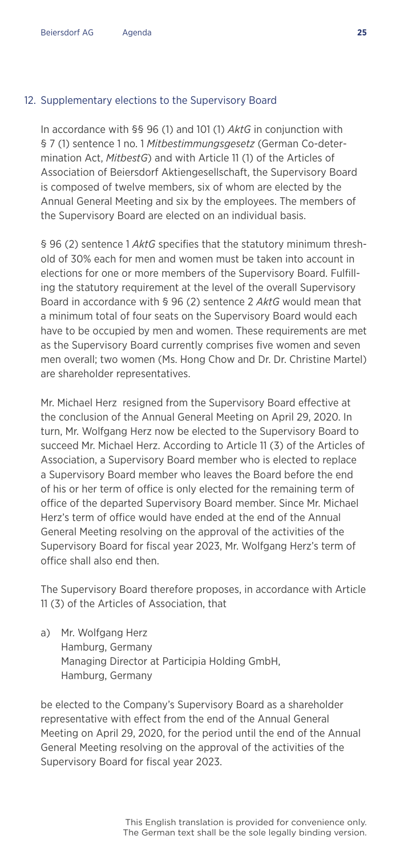#### 12. Supplementary elections to the Supervisory Board

In accordance with §§ 96 (1) and 101 (1) *AktG* in conjunction with § 7 (1) sentence 1 no. 1 *Mitbestimmungsgesetz* (German Co-determination Act, *MitbestG*) and with Article 11 (1) of the Articles of Association of Beiersdorf Aktiengesellschaft, the Supervisory Board is composed of twelve members, six of whom are elected by the Annual General Meeting and six by the employees. The members of the Supervisory Board are elected on an individual basis.

§ 96 (2) sentence 1 *AktG* specifies that the statutory minimum threshold of 30% each for men and women must be taken into account in elections for one or more members of the Supervisory Board. Fulfilling the statutory requirement at the level of the overall Supervisory Board in accordance with § 96 (2) sentence 2 *AktG* would mean that a minimum total of four seats on the Supervisory Board would each have to be occupied by men and women. These requirements are met as the Supervisory Board currently comprises five women and seven men overall; two women (Ms. Hong Chow and Dr. Dr. Christine Martel) are shareholder representatives.

Mr. Michael Herz resigned from the Supervisory Board effective at the conclusion of the Annual General Meeting on April 29, 2020. In turn, Mr. Wolfgang Herz now be elected to the Supervisory Board to succeed Mr. Michael Herz. According to Article 11 (3) of the Articles of Association, a Supervisory Board member who is elected to replace a Supervisory Board member who leaves the Board before the end of his or her term of office is only elected for the remaining term of office of the departed Supervisory Board member. Since Mr. Michael Herz's term of office would have ended at the end of the Annual General Meeting resolving on the approval of the activities of the Supervisory Board for fiscal year 2023, Mr. Wolfgang Herz's term of office shall also end then.

The Supervisory Board therefore proposes, in accordance with Article 11 (3) of the Articles of Association, that

a) Mr. Wolfgang Herz Hamburg, Germany Managing Director at Participia Holding GmbH, Hamburg, Germany

be elected to the Company's Supervisory Board as a shareholder representative with effect from the end of the Annual General Meeting on April 29, 2020, for the period until the end of the Annual General Meeting resolving on the approval of the activities of the Supervisory Board for fiscal year 2023.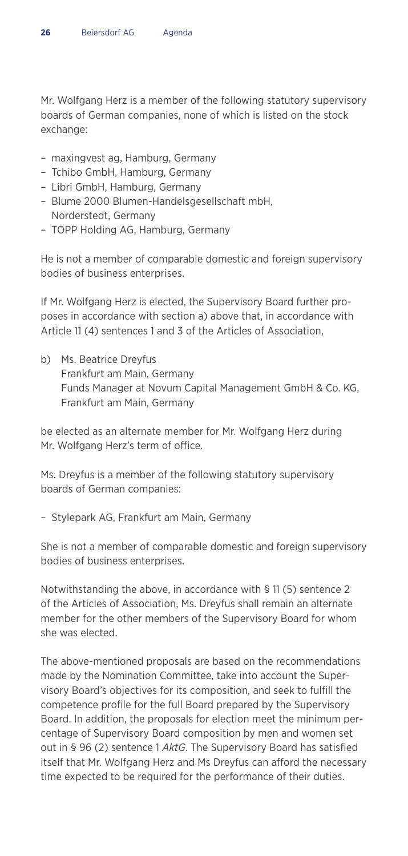Mr. Wolfgang Herz is a member of the following statutory supervisory boards of German companies, none of which is listed on the stock exchange:

- maxingvest ag, Hamburg, Germany
- Tchibo GmbH, Hamburg, Germany
- Libri GmbH, Hamburg, Germany
- Blume 2000 Blumen-Handelsgesellschaft mbH, Norderstedt, Germany
- TOPP Holding AG, Hamburg, Germany

He is not a member of comparable domestic and foreign supervisory bodies of business enterprises.

If Mr. Wolfgang Herz is elected, the Supervisory Board further proposes in accordance with section a) above that, in accordance with Article 11 (4) sentences 1 and 3 of the Articles of Association,

b) Ms. Beatrice Dreyfus Frankfurt am Main, Germany Funds Manager at Novum Capital Management GmbH & Co. KG, Frankfurt am Main, Germany

be elected as an alternate member for Mr. Wolfgang Herz during Mr. Wolfgang Herz's term of office.

Ms. Dreyfus is a member of the following statutory supervisory boards of German companies:

– Stylepark AG, Frankfurt am Main, Germany

She is not a member of comparable domestic and foreign supervisory bodies of business enterprises.

Notwithstanding the above, in accordance with § 11 (5) sentence 2 of the Articles of Association, Ms. Dreyfus shall remain an alternate member for the other members of the Supervisory Board for whom she was elected.

The above-mentioned proposals are based on the recommendations made by the Nomination Committee, take into account the Supervisory Board's objectives for its composition, and seek to fulfill the competence profile for the full Board prepared by the Supervisory Board. In addition, the proposals for election meet the minimum percentage of Supervisory Board composition by men and women set out in § 96 (2) sentence 1 *AktG*. The Supervisory Board has satisfied itself that Mr. Wolfgang Herz and Ms Dreyfus can afford the necessary time expected to be required for the performance of their duties.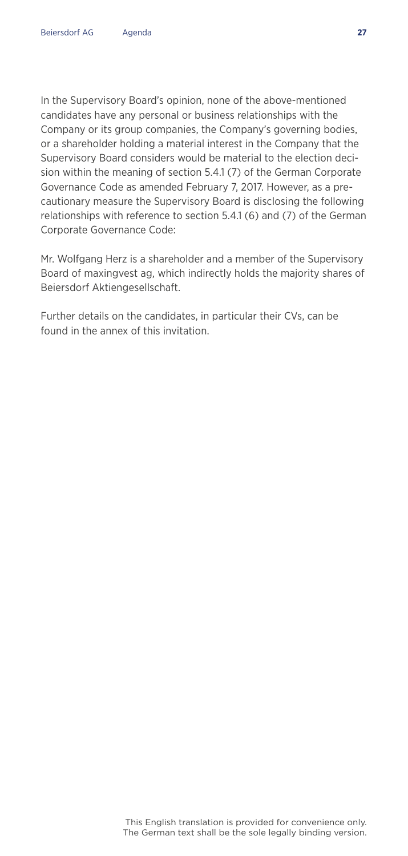In the Supervisory Board's opinion, none of the above-mentioned candidates have any personal or business relationships with the Company or its group companies, the Company's governing bodies, or a shareholder holding a material interest in the Company that the Supervisory Board considers would be material to the election decision within the meaning of section 5.4.1 (7) of the German Corporate Governance Code as amended February 7, 2017. However, as a precautionary measure the Supervisory Board is disclosing the following relationships with reference to section 5.4.1 (6) and (7) of the German Corporate Governance Code:

Mr. Wolfgang Herz is a shareholder and a member of the Supervisory Board of maxingvest ag, which indirectly holds the majority shares of Beiersdorf Aktiengesellschaft.

Further details on the candidates, in particular their CVs, can be found in the annex of this invitation.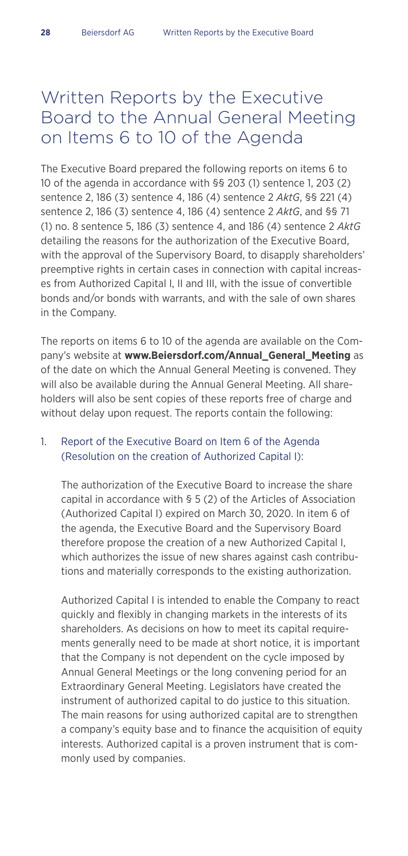### Written Reports by the Executive Board to the Annual General Meeting on Items 6 to 10 of the Agenda

The Executive Board prepared the following reports on items 6 to 10 of the agenda in accordance with §§ 203 (1) sentence 1, 203 (2) sentence 2, 186 (3) sentence 4, 186 (4) sentence 2 *AktG*, §§ 221 (4) sentence 2, 186 (3) sentence 4, 186 (4) sentence 2 *AktG*, and §§ 71 (1) no. 8 sentence 5, 186 (3) sentence 4, and 186 (4) sentence 2 *AktG* detailing the reasons for the authorization of the Executive Board, with the approval of the Supervisory Board, to disapply shareholders' preemptive rights in certain cases in connection with capital increases from Authorized Capital I, II and III, with the issue of convertible bonds and/or bonds with warrants, and with the sale of own shares in the Company.

The reports on items 6 to 10 of the agenda are available on the Company's website at **www.Beiersdorf.com/Annual\_General\_Meeting** as of the date on which the Annual General Meeting is convened. They will also be available during the Annual General Meeting. All shareholders will also be sent copies of these reports free of charge and without delay upon request. The reports contain the following:

#### 1. Report of the Executive Board on Item 6 of the Agenda (Resolution on the creation of Authorized Capital I):

 The authorization of the Executive Board to increase the share capital in accordance with § 5 (2) of the Articles of Association (Authorized Capital I) expired on March 30, 2020. In item 6 of the agenda, the Executive Board and the Supervisory Board therefore propose the creation of a new Authorized Capital I, which authorizes the issue of new shares against cash contributions and materially corresponds to the existing authorization.

 Authorized Capital I is intended to enable the Company to react quickly and flexibly in changing markets in the interests of its shareholders. As decisions on how to meet its capital requirements generally need to be made at short notice, it is important that the Company is not dependent on the cycle imposed by Annual General Meetings or the long convening period for an Extraordinary General Meeting. Legislators have created the instrument of authorized capital to do justice to this situation. The main reasons for using authorized capital are to strengthen a company's equity base and to finance the acquisition of equity interests. Authorized capital is a proven instrument that is commonly used by companies.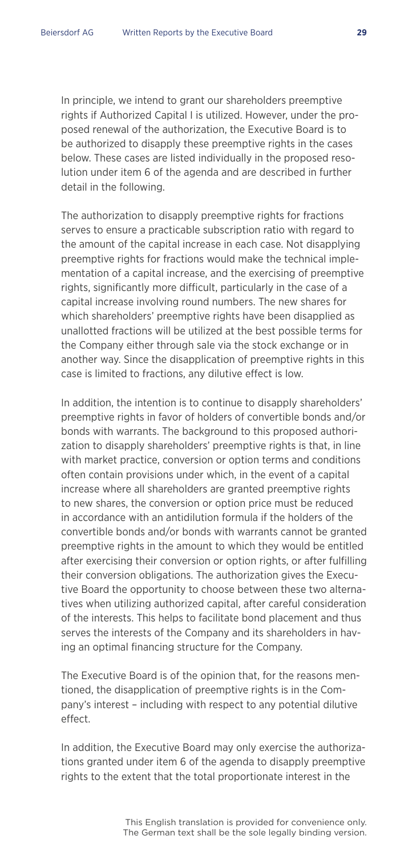In principle, we intend to grant our shareholders preemptive rights if Authorized Capital I is utilized. However, under the proposed renewal of the authorization, the Executive Board is to be authorized to disapply these preemptive rights in the cases below. These cases are listed individually in the proposed resolution under item 6 of the agenda and are described in further detail in the following.

 The authorization to disapply preemptive rights for fractions serves to ensure a practicable subscription ratio with regard to the amount of the capital increase in each case. Not disapplying preemptive rights for fractions would make the technical implementation of a capital increase, and the exercising of preemptive rights, significantly more difficult, particularly in the case of a capital increase involving round numbers. The new shares for which shareholders' preemptive rights have been disapplied as unallotted fractions will be utilized at the best possible terms for the Company either through sale via the stock exchange or in another way. Since the disapplication of preemptive rights in this case is limited to fractions, any dilutive effect is low.

 In addition, the intention is to continue to disapply shareholders' preemptive rights in favor of holders of convertible bonds and/or bonds with warrants. The background to this proposed authorization to disapply shareholders' preemptive rights is that, in line with market practice, conversion or option terms and conditions often contain provisions under which, in the event of a capital increase where all shareholders are granted preemptive rights to new shares, the conversion or option price must be reduced in accordance with an antidilution formula if the holders of the convertible bonds and/or bonds with warrants cannot be granted preemptive rights in the amount to which they would be entitled after exercising their conversion or option rights, or after fulfilling their conversion obligations. The authorization gives the Executive Board the opportunity to choose between these two alternatives when utilizing authorized capital, after careful consideration of the interests. This helps to facilitate bond placement and thus serves the interests of the Company and its shareholders in having an optimal financing structure for the Company.

 The Executive Board is of the opinion that, for the reasons mentioned, the disapplication of preemptive rights is in the Company's interest – including with respect to any potential dilutive effect.

 In addition, the Executive Board may only exercise the authorizations granted under item 6 of the agenda to disapply preemptive rights to the extent that the total proportionate interest in the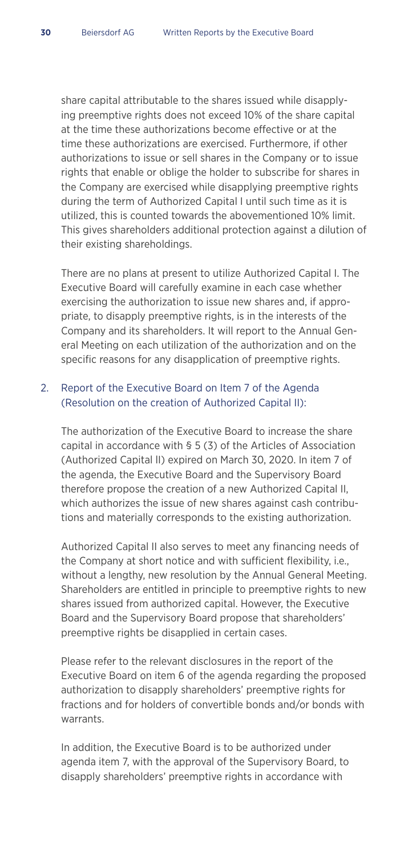share capital attributable to the shares issued while disapplying preemptive rights does not exceed 10% of the share capital at the time these authorizations become effective or at the time these authorizations are exercised. Furthermore, if other authorizations to issue or sell shares in the Company or to issue rights that enable or oblige the holder to subscribe for shares in the Company are exercised while disapplying preemptive rights during the term of Authorized Capital I until such time as it is utilized, this is counted towards the abovementioned 10% limit. This gives shareholders additional protection against a dilution of their existing shareholdings.

 There are no plans at present to utilize Authorized Capital I. The Executive Board will carefully examine in each case whether exercising the authorization to issue new shares and, if appropriate, to disapply preemptive rights, is in the interests of the Company and its shareholders. It will report to the Annual General Meeting on each utilization of the authorization and on the specific reasons for any disapplication of preemptive rights.

#### 2. Report of the Executive Board on Item 7 of the Agenda (Resolution on the creation of Authorized Capital II):

 The authorization of the Executive Board to increase the share capital in accordance with § 5 (3) of the Articles of Association (Authorized Capital lI) expired on March 30, 2020. In item 7 of the agenda, the Executive Board and the Supervisory Board therefore propose the creation of a new Authorized Capital II, which authorizes the issue of new shares against cash contributions and materially corresponds to the existing authorization.

 Authorized Capital II also serves to meet any financing needs of the Company at short notice and with sufficient flexibility, i.e., without a lengthy, new resolution by the Annual General Meeting. Shareholders are entitled in principle to preemptive rights to new shares issued from authorized capital. However, the Executive Board and the Supervisory Board propose that shareholders' preemptive rights be disapplied in certain cases.

 Please refer to the relevant disclosures in the report of the Executive Board on item 6 of the agenda regarding the proposed authorization to disapply shareholders' preemptive rights for fractions and for holders of convertible bonds and/or bonds with warrants.

 In addition, the Executive Board is to be authorized under agenda item 7, with the approval of the Supervisory Board, to disapply shareholders' preemptive rights in accordance with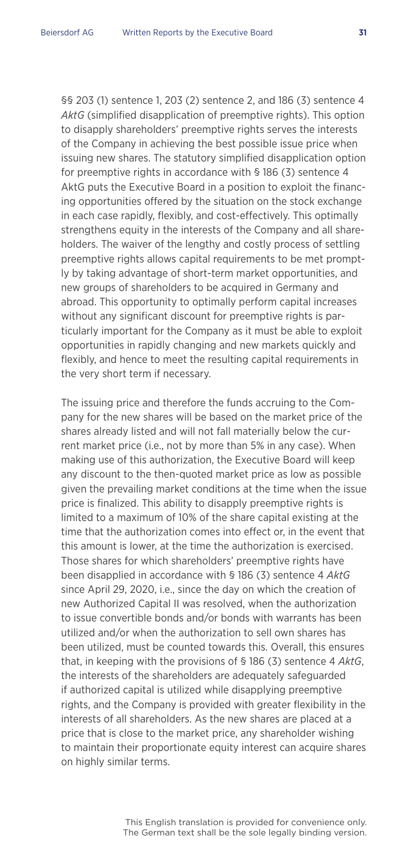§§ 203 (1) sentence 1, 203 (2) sentence 2, and 186 (3) sentence 4 *AktG* (simplified disapplication of preemptive rights). This option to disapply shareholders' preemptive rights serves the interests of the Company in achieving the best possible issue price when issuing new shares. The statutory simplified disapplication option for preemptive rights in accordance with § 186 (3) sentence 4 AktG puts the Executive Board in a position to exploit the financing opportunities offered by the situation on the stock exchange in each case rapidly, flexibly, and cost-effectively. This optimally strengthens equity in the interests of the Company and all shareholders. The waiver of the lengthy and costly process of settling preemptive rights allows capital requirements to be met promptly by taking advantage of short-term market opportunities, and new groups of shareholders to be acquired in Germany and abroad. This opportunity to optimally perform capital increases without any significant discount for preemptive rights is particularly important for the Company as it must be able to exploit opportunities in rapidly changing and new markets quickly and flexibly, and hence to meet the resulting capital requirements in the very short term if necessary.

 The issuing price and therefore the funds accruing to the Company for the new shares will be based on the market price of the shares already listed and will not fall materially below the current market price (i.e., not by more than 5% in any case). When making use of this authorization, the Executive Board will keep any discount to the then-quoted market price as low as possible given the prevailing market conditions at the time when the issue price is finalized. This ability to disapply preemptive rights is limited to a maximum of 10% of the share capital existing at the time that the authorization comes into effect or, in the event that this amount is lower, at the time the authorization is exercised. Those shares for which shareholders' preemptive rights have been disapplied in accordance with § 186 (3) sentence 4 *AktG* since April 29, 2020, i.e., since the day on which the creation of new Authorized Capital II was resolved, when the authorization to issue convertible bonds and/or bonds with warrants has been utilized and/or when the authorization to sell own shares has been utilized, must be counted towards this. Overall, this ensures that, in keeping with the provisions of § 186 (3) sentence 4 *AktG*, the interests of the shareholders are adequately safeguarded if authorized capital is utilized while disapplying preemptive rights, and the Company is provided with greater flexibility in the interests of all shareholders. As the new shares are placed at a price that is close to the market price, any shareholder wishing to maintain their proportionate equity interest can acquire shares on highly similar terms.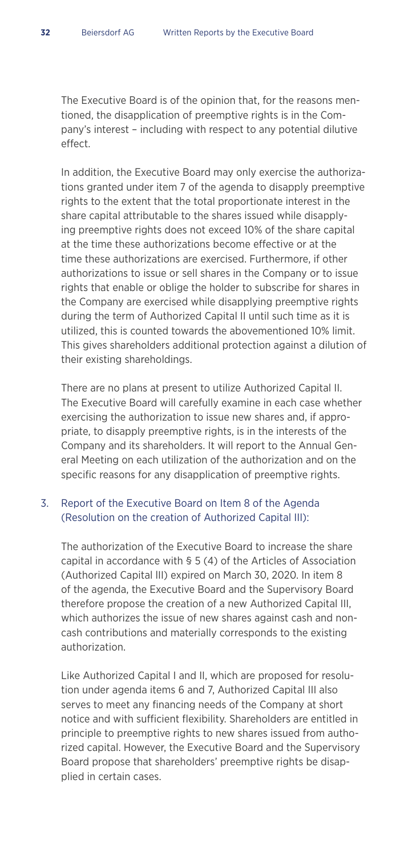The Executive Board is of the opinion that, for the reasons mentioned, the disapplication of preemptive rights is in the Company's interest – including with respect to any potential dilutive effect.

 In addition, the Executive Board may only exercise the authorizations granted under item 7 of the agenda to disapply preemptive rights to the extent that the total proportionate interest in the share capital attributable to the shares issued while disapplying preemptive rights does not exceed 10% of the share capital at the time these authorizations become effective or at the time these authorizations are exercised. Furthermore, if other authorizations to issue or sell shares in the Company or to issue rights that enable or oblige the holder to subscribe for shares in the Company are exercised while disapplying preemptive rights during the term of Authorized Capital II until such time as it is utilized, this is counted towards the abovementioned 10% limit. This gives shareholders additional protection against a dilution of their existing shareholdings.

 There are no plans at present to utilize Authorized Capital II. The Executive Board will carefully examine in each case whether exercising the authorization to issue new shares and, if appropriate, to disapply preemptive rights, is in the interests of the Company and its shareholders. It will report to the Annual General Meeting on each utilization of the authorization and on the specific reasons for any disapplication of preemptive rights.

#### 3. Report of the Executive Board on Item 8 of the Agenda (Resolution on the creation of Authorized Capital III):

 The authorization of the Executive Board to increase the share capital in accordance with § 5 (4) of the Articles of Association (Authorized Capital lII) expired on March 30, 2020. In item 8 of the agenda, the Executive Board and the Supervisory Board therefore propose the creation of a new Authorized Capital III, which authorizes the issue of new shares against cash and noncash contributions and materially corresponds to the existing authorization.

 Like Authorized Capital I and II, which are proposed for resolution under agenda items 6 and 7, Authorized Capital III also serves to meet any financing needs of the Company at short notice and with sufficient flexibility. Shareholders are entitled in principle to preemptive rights to new shares issued from authorized capital. However, the Executive Board and the Supervisory Board propose that shareholders' preemptive rights be disapplied in certain cases.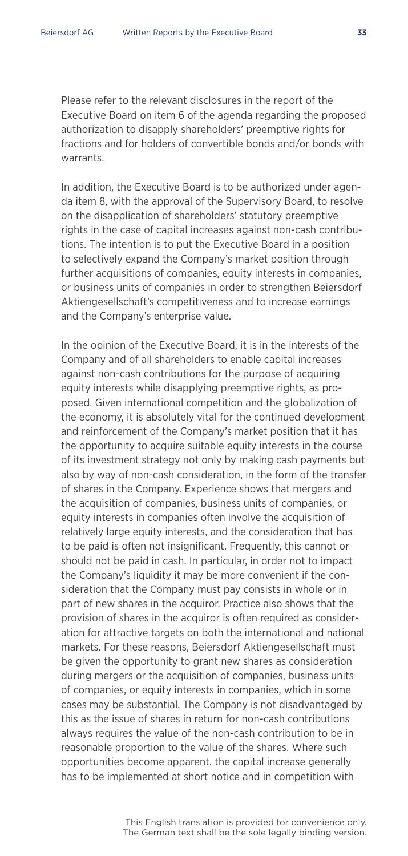Please refer to the relevant disclosures in the report of the Executive Board on item 6 of the agenda regarding the proposed authorization to disapply shareholders' preemptive rights for fractions and for holders of convertible bonds and/or bonds with warrants.

 In addition, the Executive Board is to be authorized under agenda item 8, with the approval of the Supervisory Board, to resolve on the disapplication of shareholders' statutory preemptive rights in the case of capital increases against non-cash contributions. The intention is to put the Executive Board in a position to selectively expand the Company's market position through further acquisitions of companies, equity interests in companies, or business units of companies in order to strengthen Beiersdorf Aktiengesellschaft's competitiveness and to increase earnings and the Company's enterprise value.

 In the opinion of the Executive Board, it is in the interests of the Company and of all shareholders to enable capital increases against non-cash contributions for the purpose of acquiring equity interests while disapplying preemptive rights, as proposed. Given international competition and the globalization of the economy, it is absolutely vital for the continued development and reinforcement of the Company's market position that it has the opportunity to acquire suitable equity interests in the course of its investment strategy not only by making cash payments but also by way of non-cash consideration, in the form of the transfer of shares in the Company. Experience shows that mergers and the acquisition of companies, business units of companies, or equity interests in companies often involve the acquisition of relatively large equity interests, and the consideration that has to be paid is often not insignificant. Frequently, this cannot or should not be paid in cash. In particular, in order not to impact the Company's liquidity it may be more convenient if the consideration that the Company must pay consists in whole or in part of new shares in the acquiror. Practice also shows that the provision of shares in the acquiror is often required as consideration for attractive targets on both the international and national markets. For these reasons, Beiersdorf Aktiengesellschaft must be given the opportunity to grant new shares as consideration during mergers or the acquisition of companies, business units of companies, or equity interests in companies, which in some cases may be substantial. The Company is not disadvantaged by this as the issue of shares in return for non-cash contributions always requires the value of the non-cash contribution to be in reasonable proportion to the value of the shares. Where such opportunities become apparent, the capital increase generally has to be implemented at short notice and in competition with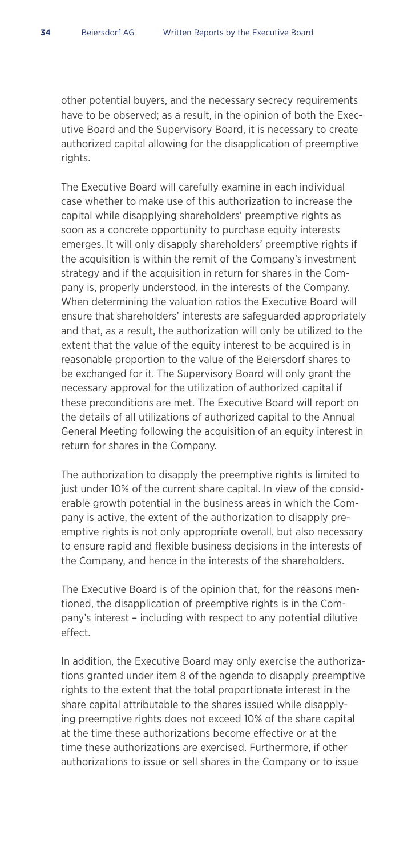other potential buyers, and the necessary secrecy requirements have to be observed; as a result, in the opinion of both the Executive Board and the Supervisory Board, it is necessary to create authorized capital allowing for the disapplication of preemptive rights.

 The Executive Board will carefully examine in each individual case whether to make use of this authorization to increase the capital while disapplying shareholders' preemptive rights as soon as a concrete opportunity to purchase equity interests emerges. It will only disapply shareholders' preemptive rights if the acquisition is within the remit of the Company's investment strategy and if the acquisition in return for shares in the Company is, properly understood, in the interests of the Company. When determining the valuation ratios the Executive Board will ensure that shareholders' interests are safeguarded appropriately and that, as a result, the authorization will only be utilized to the extent that the value of the equity interest to be acquired is in reasonable proportion to the value of the Beiersdorf shares to be exchanged for it. The Supervisory Board will only grant the necessary approval for the utilization of authorized capital if these preconditions are met. The Executive Board will report on the details of all utilizations of authorized capital to the Annual General Meeting following the acquisition of an equity interest in return for shares in the Company.

 The authorization to disapply the preemptive rights is limited to just under 10% of the current share capital. In view of the considerable growth potential in the business areas in which the Company is active, the extent of the authorization to disapply preemptive rights is not only appropriate overall, but also necessary to ensure rapid and flexible business decisions in the interests of the Company, and hence in the interests of the shareholders.

 The Executive Board is of the opinion that, for the reasons mentioned, the disapplication of preemptive rights is in the Company's interest – including with respect to any potential dilutive effect.

 In addition, the Executive Board may only exercise the authorizations granted under item 8 of the agenda to disapply preemptive rights to the extent that the total proportionate interest in the share capital attributable to the shares issued while disapplying preemptive rights does not exceed 10% of the share capital at the time these authorizations become effective or at the time these authorizations are exercised. Furthermore, if other authorizations to issue or sell shares in the Company or to issue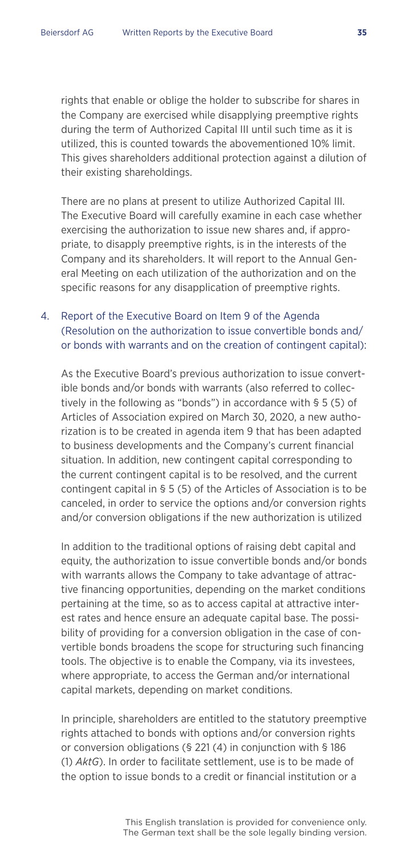rights that enable or oblige the holder to subscribe for shares in the Company are exercised while disapplying preemptive rights during the term of Authorized Capital III until such time as it is utilized, this is counted towards the abovementioned 10% limit. This gives shareholders additional protection against a dilution of their existing shareholdings.

 There are no plans at present to utilize Authorized Capital III. The Executive Board will carefully examine in each case whether exercising the authorization to issue new shares and, if appropriate, to disapply preemptive rights, is in the interests of the Company and its shareholders. It will report to the Annual General Meeting on each utilization of the authorization and on the specific reasons for any disapplication of preemptive rights.

#### 4. Report of the Executive Board on Item 9 of the Agenda (Resolution on the authorization to issue convertible bonds and/ or bonds with warrants and on the creation of contingent capital):

 As the Executive Board's previous authorization to issue convertible bonds and/or bonds with warrants (also referred to collectively in the following as "bonds") in accordance with § 5 (5) of Articles of Association expired on March 30, 2020, a new authorization is to be created in agenda item 9 that has been adapted to business developments and the Company's current financial situation. In addition, new contingent capital corresponding to the current contingent capital is to be resolved, and the current contingent capital in § 5 (5) of the Articles of Association is to be canceled, in order to service the options and/or conversion rights and/or conversion obligations if the new authorization is utilized

 In addition to the traditional options of raising debt capital and equity, the authorization to issue convertible bonds and/or bonds with warrants allows the Company to take advantage of attractive financing opportunities, depending on the market conditions pertaining at the time, so as to access capital at attractive interest rates and hence ensure an adequate capital base. The possibility of providing for a conversion obligation in the case of convertible bonds broadens the scope for structuring such financing tools. The objective is to enable the Company, via its investees, where appropriate, to access the German and/or international capital markets, depending on market conditions.

 In principle, shareholders are entitled to the statutory preemptive rights attached to bonds with options and/or conversion rights or conversion obligations (§ 221 (4) in conjunction with § 186 (1) *AktG*). In order to facilitate settlement, use is to be made of the option to issue bonds to a credit or financial institution or a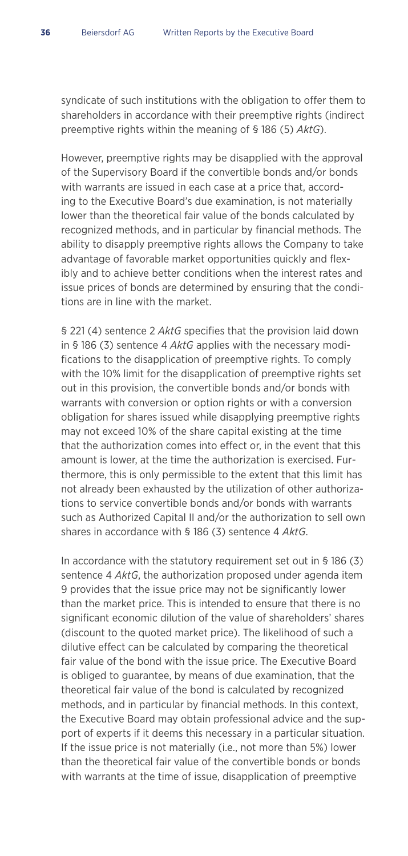syndicate of such institutions with the obligation to offer them to shareholders in accordance with their preemptive rights (indirect preemptive rights within the meaning of § 186 (5) *AktG*).

 However, preemptive rights may be disapplied with the approval of the Supervisory Board if the convertible bonds and/or bonds with warrants are issued in each case at a price that, according to the Executive Board's due examination, is not materially lower than the theoretical fair value of the bonds calculated by recognized methods, and in particular by financial methods. The ability to disapply preemptive rights allows the Company to take advantage of favorable market opportunities quickly and flexibly and to achieve better conditions when the interest rates and issue prices of bonds are determined by ensuring that the conditions are in line with the market.

 § 221 (4) sentence 2 *AktG* specifies that the provision laid down in § 186 (3) sentence 4 *AktG* applies with the necessary modifications to the disapplication of preemptive rights. To comply with the 10% limit for the disapplication of preemptive rights set out in this provision, the convertible bonds and/or bonds with warrants with conversion or option rights or with a conversion obligation for shares issued while disapplying preemptive rights may not exceed 10% of the share capital existing at the time that the authorization comes into effect or, in the event that this amount is lower, at the time the authorization is exercised. Furthermore, this is only permissible to the extent that this limit has not already been exhausted by the utilization of other authorizations to service convertible bonds and/or bonds with warrants such as Authorized Capital II and/or the authorization to sell own shares in accordance with § 186 (3) sentence 4 *AktG*.

 In accordance with the statutory requirement set out in § 186 (3) sentence 4 *AktG*, the authorization proposed under agenda item 9 provides that the issue price may not be significantly lower than the market price. This is intended to ensure that there is no significant economic dilution of the value of shareholders' shares (discount to the quoted market price). The likelihood of such a dilutive effect can be calculated by comparing the theoretical fair value of the bond with the issue price. The Executive Board is obliged to guarantee, by means of due examination, that the theoretical fair value of the bond is calculated by recognized methods, and in particular by financial methods. In this context, the Executive Board may obtain professional advice and the support of experts if it deems this necessary in a particular situation. If the issue price is not materially (i.e., not more than 5%) lower than the theoretical fair value of the convertible bonds or bonds with warrants at the time of issue, disapplication of preemptive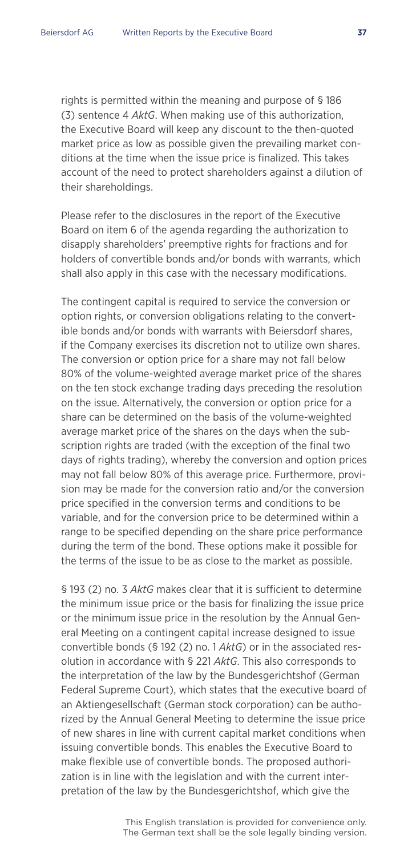rights is permitted within the meaning and purpose of § 186 (3) sentence 4 *AktG*. When making use of this authorization, the Executive Board will keep any discount to the then-quoted market price as low as possible given the prevailing market conditions at the time when the issue price is finalized. This takes account of the need to protect shareholders against a dilution of their shareholdings.

 Please refer to the disclosures in the report of the Executive Board on item 6 of the agenda regarding the authorization to disapply shareholders' preemptive rights for fractions and for holders of convertible bonds and/or bonds with warrants, which shall also apply in this case with the necessary modifications.

 The contingent capital is required to service the conversion or option rights, or conversion obligations relating to the convertible bonds and/or bonds with warrants with Beiersdorf shares, if the Company exercises its discretion not to utilize own shares. The conversion or option price for a share may not fall below 80% of the volume-weighted average market price of the shares on the ten stock exchange trading days preceding the resolution on the issue. Alternatively, the conversion or option price for a share can be determined on the basis of the volume-weighted average market price of the shares on the days when the subscription rights are traded (with the exception of the final two days of rights trading), whereby the conversion and option prices may not fall below 80% of this average price. Furthermore, provision may be made for the conversion ratio and/or the conversion price specified in the conversion terms and conditions to be variable, and for the conversion price to be determined within a range to be specified depending on the share price performance during the term of the bond. These options make it possible for the terms of the issue to be as close to the market as possible.

 § 193 (2) no. 3 *AktG* makes clear that it is sufficient to determine the minimum issue price or the basis for finalizing the issue price or the minimum issue price in the resolution by the Annual General Meeting on a contingent capital increase designed to issue convertible bonds (§ 192 (2) no. 1 *AktG*) or in the associated resolution in accordance with § 221 *AktG*. This also corresponds to the interpretation of the law by the Bundesgerichtshof (German Federal Supreme Court), which states that the executive board of an Aktiengesellschaft (German stock corporation) can be authorized by the Annual General Meeting to determine the issue price of new shares in line with current capital market conditions when issuing convertible bonds. This enables the Executive Board to make flexible use of convertible bonds. The proposed authorization is in line with the legislation and with the current interpretation of the law by the Bundesgerichtshof, which give the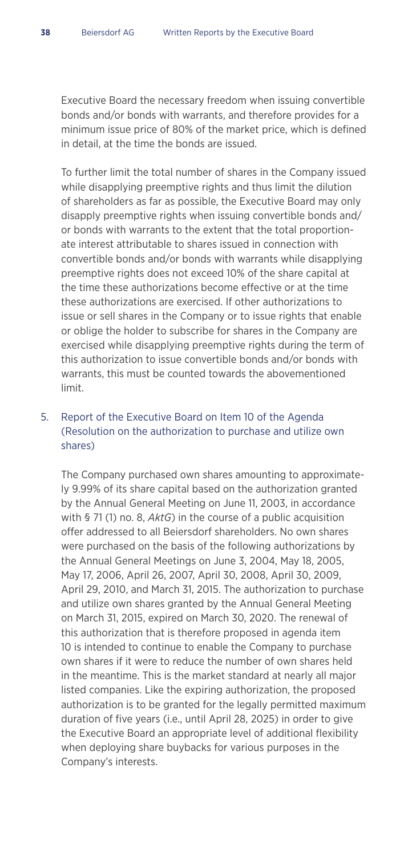Executive Board the necessary freedom when issuing convertible bonds and/or bonds with warrants, and therefore provides for a minimum issue price of 80% of the market price, which is defined in detail, at the time the bonds are issued.

 To further limit the total number of shares in the Company issued while disapplying preemptive rights and thus limit the dilution of shareholders as far as possible, the Executive Board may only disapply preemptive rights when issuing convertible bonds and/ or bonds with warrants to the extent that the total proportionate interest attributable to shares issued in connection with convertible bonds and/or bonds with warrants while disapplying preemptive rights does not exceed 10% of the share capital at the time these authorizations become effective or at the time these authorizations are exercised. If other authorizations to issue or sell shares in the Company or to issue rights that enable or oblige the holder to subscribe for shares in the Company are exercised while disapplying preemptive rights during the term of this authorization to issue convertible bonds and/or bonds with warrants, this must be counted towards the abovementioned limit.

#### 5. Report of the Executive Board on Item 10 of the Agenda (Resolution on the authorization to purchase and utilize own shares)

 The Company purchased own shares amounting to approximately 9.99% of its share capital based on the authorization granted by the Annual General Meeting on June 11, 2003, in accordance with § 71 (1) no. 8, *AktG*) in the course of a public acquisition offer addressed to all Beiersdorf shareholders. No own shares were purchased on the basis of the following authorizations by the Annual General Meetings on June 3, 2004, May 18, 2005, May 17, 2006, April 26, 2007, April 30, 2008, April 30, 2009, April 29, 2010, and March 31, 2015. The authorization to purchase and utilize own shares granted by the Annual General Meeting on March 31, 2015, expired on March 30, 2020. The renewal of this authorization that is therefore proposed in agenda item 10 is intended to continue to enable the Company to purchase own shares if it were to reduce the number of own shares held in the meantime. This is the market standard at nearly all major listed companies. Like the expiring authorization, the proposed authorization is to be granted for the legally permitted maximum duration of five years (i.e., until April 28, 2025) in order to give the Executive Board an appropriate level of additional flexibility when deploying share buybacks for various purposes in the Company's interests.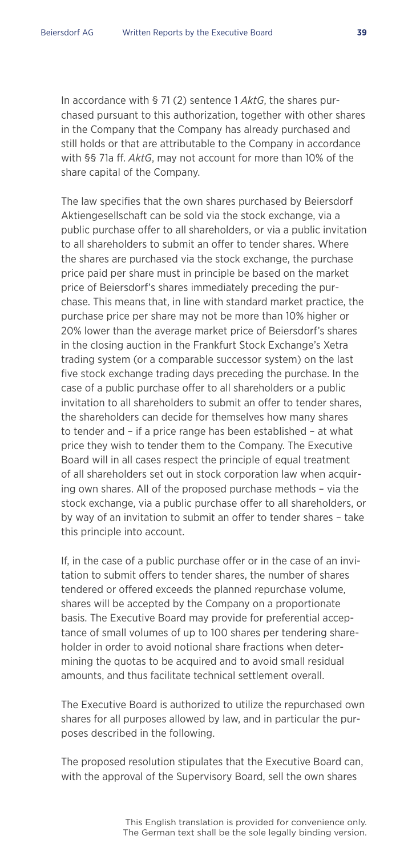In accordance with § 71 (2) sentence 1 *AktG*, the shares purchased pursuant to this authorization, together with other shares in the Company that the Company has already purchased and still holds or that are attributable to the Company in accordance with §§ 71a ff. *AktG*, may not account for more than 10% of the share capital of the Company.

 The law specifies that the own shares purchased by Beiersdorf Aktiengesellschaft can be sold via the stock exchange, via a public purchase offer to all shareholders, or via a public invitation to all shareholders to submit an offer to tender shares. Where the shares are purchased via the stock exchange, the purchase price paid per share must in principle be based on the market price of Beiersdorf's shares immediately preceding the purchase. This means that, in line with standard market practice, the purchase price per share may not be more than 10% higher or 20% lower than the average market price of Beiersdorf's shares in the closing auction in the Frankfurt Stock Exchange's Xetra trading system (or a comparable successor system) on the last five stock exchange trading days preceding the purchase. In the case of a public purchase offer to all shareholders or a public invitation to all shareholders to submit an offer to tender shares, the shareholders can decide for themselves how many shares to tender and – if a price range has been established – at what price they wish to tender them to the Company. The Executive Board will in all cases respect the principle of equal treatment of all shareholders set out in stock corporation law when acquiring own shares. All of the proposed purchase methods – via the stock exchange, via a public purchase offer to all shareholders, or by way of an invitation to submit an offer to tender shares – take this principle into account.

 If, in the case of a public purchase offer or in the case of an invitation to submit offers to tender shares, the number of shares tendered or offered exceeds the planned repurchase volume, shares will be accepted by the Company on a proportionate basis. The Executive Board may provide for preferential acceptance of small volumes of up to 100 shares per tendering shareholder in order to avoid notional share fractions when determining the quotas to be acquired and to avoid small residual amounts, and thus facilitate technical settlement overall.

 The Executive Board is authorized to utilize the repurchased own shares for all purposes allowed by law, and in particular the purposes described in the following.

 The proposed resolution stipulates that the Executive Board can, with the approval of the Supervisory Board, sell the own shares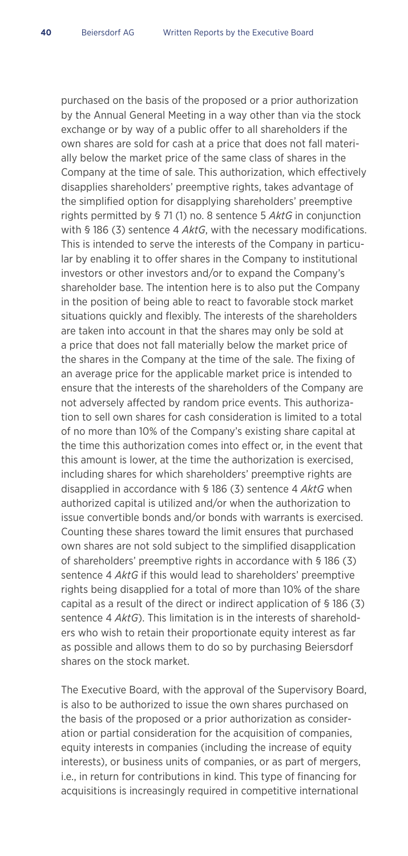purchased on the basis of the proposed or a prior authorization by the Annual General Meeting in a way other than via the stock exchange or by way of a public offer to all shareholders if the own shares are sold for cash at a price that does not fall materially below the market price of the same class of shares in the Company at the time of sale. This authorization, which effectively disapplies shareholders' preemptive rights, takes advantage of the simplified option for disapplying shareholders' preemptive rights permitted by § 71 (1) no. 8 sentence 5 *AktG* in conjunction with § 186 (3) sentence 4 *AktG*, with the necessary modifications. This is intended to serve the interests of the Company in particular by enabling it to offer shares in the Company to institutional investors or other investors and/or to expand the Company's shareholder base. The intention here is to also put the Company in the position of being able to react to favorable stock market situations quickly and flexibly. The interests of the shareholders are taken into account in that the shares may only be sold at a price that does not fall materially below the market price of the shares in the Company at the time of the sale. The fixing of an average price for the applicable market price is intended to ensure that the interests of the shareholders of the Company are not adversely affected by random price events. This authorization to sell own shares for cash consideration is limited to a total of no more than 10% of the Company's existing share capital at the time this authorization comes into effect or, in the event that this amount is lower, at the time the authorization is exercised, including shares for which shareholders' preemptive rights are disapplied in accordance with § 186 (3) sentence 4 *AktG* when authorized capital is utilized and/or when the authorization to issue convertible bonds and/or bonds with warrants is exercised. Counting these shares toward the limit ensures that purchased own shares are not sold subject to the simplified disapplication of shareholders' preemptive rights in accordance with § 186 (3) sentence 4 *AktG* if this would lead to shareholders' preemptive rights being disapplied for a total of more than 10% of the share capital as a result of the direct or indirect application of § 186 (3) sentence 4 *AktG*). This limitation is in the interests of shareholders who wish to retain their proportionate equity interest as far as possible and allows them to do so by purchasing Beiersdorf shares on the stock market.

 The Executive Board, with the approval of the Supervisory Board, is also to be authorized to issue the own shares purchased on the basis of the proposed or a prior authorization as consideration or partial consideration for the acquisition of companies, equity interests in companies (including the increase of equity interests), or business units of companies, or as part of mergers, i.e., in return for contributions in kind. This type of financing for acquisitions is increasingly required in competitive international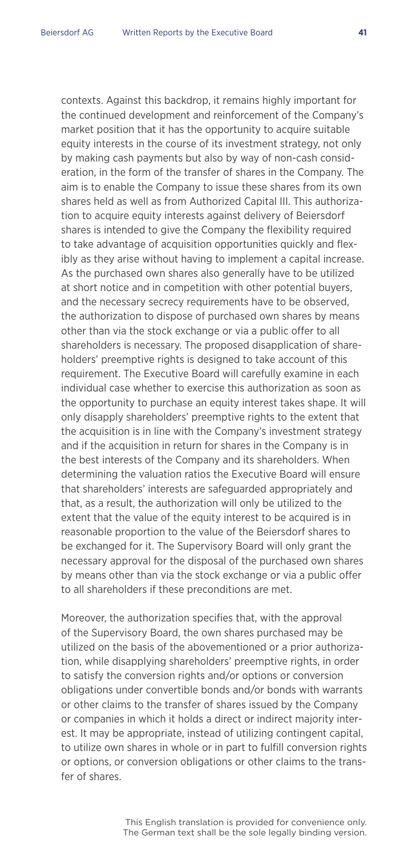contexts. Against this backdrop, it remains highly important for the continued development and reinforcement of the Company's market position that it has the opportunity to acquire suitable equity interests in the course of its investment strategy, not only by making cash payments but also by way of non-cash consideration, in the form of the transfer of shares in the Company. The aim is to enable the Company to issue these shares from its own shares held as well as from Authorized Capital III. This authorization to acquire equity interests against delivery of Beiersdorf shares is intended to give the Company the flexibility required to take advantage of acquisition opportunities quickly and flexibly as they arise without having to implement a capital increase. As the purchased own shares also generally have to be utilized at short notice and in competition with other potential buyers, and the necessary secrecy requirements have to be observed, the authorization to dispose of purchased own shares by means other than via the stock exchange or via a public offer to all shareholders is necessary. The proposed disapplication of shareholders' preemptive rights is designed to take account of this requirement. The Executive Board will carefully examine in each individual case whether to exercise this authorization as soon as the opportunity to purchase an equity interest takes shape. It will only disapply shareholders' preemptive rights to the extent that the acquisition is in line with the Company's investment strategy and if the acquisition in return for shares in the Company is in the best interests of the Company and its shareholders. When determining the valuation ratios the Executive Board will ensure that shareholders' interests are safeguarded appropriately and that, as a result, the authorization will only be utilized to the extent that the value of the equity interest to be acquired is in reasonable proportion to the value of the Beiersdorf shares to be exchanged for it. The Supervisory Board will only grant the necessary approval for the disposal of the purchased own shares by means other than via the stock exchange or via a public offer to all shareholders if these preconditions are met.

 Moreover, the authorization specifies that, with the approval of the Supervisory Board, the own shares purchased may be utilized on the basis of the abovementioned or a prior authorization, while disapplying shareholders' preemptive rights, in order to satisfy the conversion rights and/or options or conversion obligations under convertible bonds and/or bonds with warrants or other claims to the transfer of shares issued by the Company or companies in which it holds a direct or indirect majority interest. It may be appropriate, instead of utilizing contingent capital, to utilize own shares in whole or in part to fulfill conversion rights or options, or conversion obligations or other claims to the transfer of shares.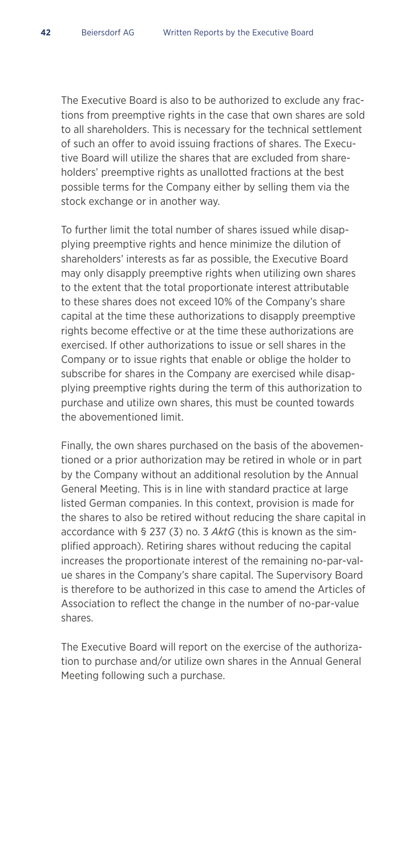The Executive Board is also to be authorized to exclude any fractions from preemptive rights in the case that own shares are sold to all shareholders. This is necessary for the technical settlement of such an offer to avoid issuing fractions of shares. The Executive Board will utilize the shares that are excluded from shareholders' preemptive rights as unallotted fractions at the best possible terms for the Company either by selling them via the stock exchange or in another way.

 To further limit the total number of shares issued while disapplying preemptive rights and hence minimize the dilution of shareholders' interests as far as possible, the Executive Board may only disapply preemptive rights when utilizing own shares to the extent that the total proportionate interest attributable to these shares does not exceed 10% of the Company's share capital at the time these authorizations to disapply preemptive rights become effective or at the time these authorizations are exercised. If other authorizations to issue or sell shares in the Company or to issue rights that enable or oblige the holder to subscribe for shares in the Company are exercised while disapplying preemptive rights during the term of this authorization to purchase and utilize own shares, this must be counted towards the abovementioned limit.

 Finally, the own shares purchased on the basis of the abovementioned or a prior authorization may be retired in whole or in part by the Company without an additional resolution by the Annual General Meeting. This is in line with standard practice at large listed German companies. In this context, provision is made for the shares to also be retired without reducing the share capital in accordance with § 237 (3) no. 3 *AktG* (this is known as the simplified approach). Retiring shares without reducing the capital increases the proportionate interest of the remaining no-par-value shares in the Company's share capital. The Supervisory Board is therefore to be authorized in this case to amend the Articles of Association to reflect the change in the number of no-par-value shares.

 The Executive Board will report on the exercise of the authorization to purchase and/or utilize own shares in the Annual General Meeting following such a purchase.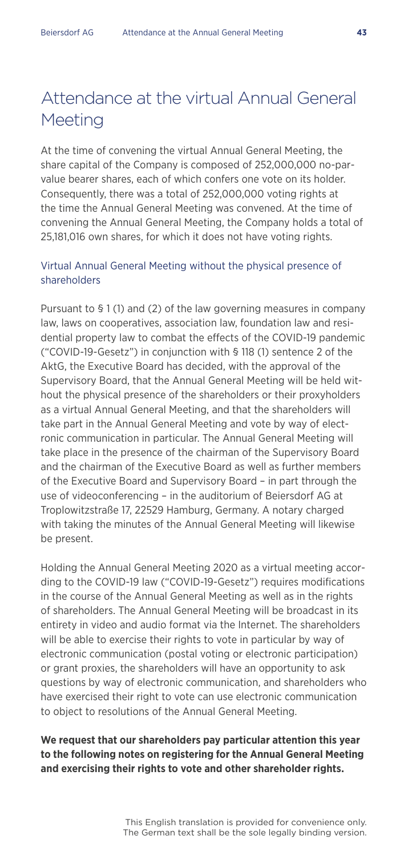### Attendance at the virtual Annual General Meeting

At the time of convening the virtual Annual General Meeting, the share capital of the Company is composed of 252,000,000 no-parvalue bearer shares, each of which confers one vote on its holder. Consequently, there was a total of 252,000,000 voting rights at the time the Annual General Meeting was convened. At the time of convening the Annual General Meeting, the Company holds a total of 25,181,016 own shares, for which it does not have voting rights.

#### Virtual Annual General Meeting without the physical presence of shareholders

Pursuant to § 1 (1) and (2) of the law governing measures in company law, laws on cooperatives, association law, foundation law and residential property law to combat the effects of the COVID-19 pandemic ("COVID-19-Gesetz") in conjunction with § 118 (1) sentence 2 of the AktG, the Executive Board has decided, with the approval of the Supervisory Board, that the Annual General Meeting will be held without the physical presence of the shareholders or their proxyholders as a virtual Annual General Meeting, and that the shareholders will take part in the Annual General Meeting and vote by way of electronic communication in particular. The Annual General Meeting will take place in the presence of the chairman of the Supervisory Board and the chairman of the Executive Board as well as further members of the Executive Board and Supervisory Board – in part through the use of videoconferencing – in the auditorium of Beiersdorf AG at Troplowitzstraße 17, 22529 Hamburg, Germany. A notary charged with taking the minutes of the Annual General Meeting will likewise be present.

Holding the Annual General Meeting 2020 as a virtual meeting according to the COVID-19 law ("COVID-19-Gesetz") requires modifications in the course of the Annual General Meeting as well as in the rights of shareholders. The Annual General Meeting will be broadcast in its entirety in video and audio format via the Internet. The shareholders will be able to exercise their rights to vote in particular by way of electronic communication (postal voting or electronic participation) or grant proxies, the shareholders will have an opportunity to ask questions by way of electronic communication, and shareholders who have exercised their right to vote can use electronic communication to object to resolutions of the Annual General Meeting.

#### **We request that our shareholders pay particular attention this year to the following notes on registering for the Annual General Meeting and exercising their rights to vote and other shareholder rights.**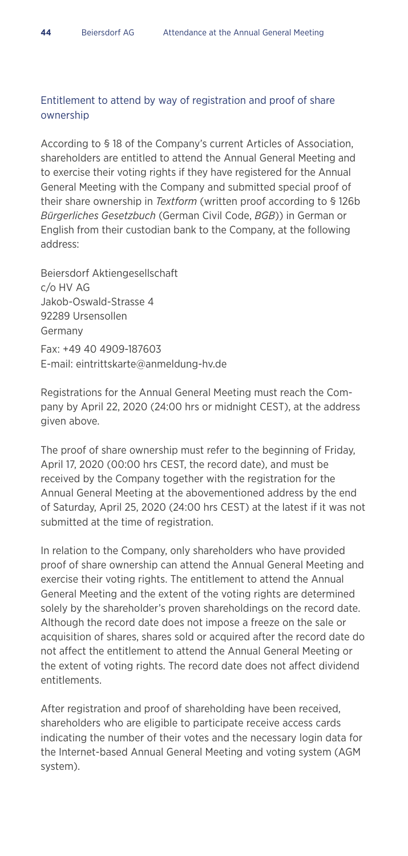#### Entitlement to attend by way of registration and proof of share ownership

According to § 18 of the Company's current Articles of Association, shareholders are entitled to attend the Annual General Meeting and to exercise their voting rights if they have registered for the Annual General Meeting with the Company and submitted special proof of their share ownership in *Textform* (written proof according to § 126b *Bürgerliches Gesetzbuch* (German Civil Code, *BGB*)) in German or English from their custodian bank to the Company, at the following address:

Beiersdorf Aktiengesellschaft c/o HV AG Jakob-Oswald-Strasse 4 92289 Ursensollen Germany Fax: +49 40 4909-187603 E-mail: eintrittskarte@anmeldung-hv.de

Registrations for the Annual General Meeting must reach the Company by April 22, 2020 (24:00 hrs or midnight CEST), at the address given above.

The proof of share ownership must refer to the beginning of Friday, April 17, 2020 (00:00 hrs CEST, the record date), and must be received by the Company together with the registration for the Annual General Meeting at the abovementioned address by the end of Saturday, April 25, 2020 (24:00 hrs CEST) at the latest if it was not submitted at the time of registration.

In relation to the Company, only shareholders who have provided proof of share ownership can attend the Annual General Meeting and exercise their voting rights. The entitlement to attend the Annual General Meeting and the extent of the voting rights are determined solely by the shareholder's proven shareholdings on the record date. Although the record date does not impose a freeze on the sale or acquisition of shares, shares sold or acquired after the record date do not affect the entitlement to attend the Annual General Meeting or the extent of voting rights. The record date does not affect dividend entitlements.

After registration and proof of shareholding have been received, shareholders who are eligible to participate receive access cards indicating the number of their votes and the necessary login data for the Internet-based Annual General Meeting and voting system (AGM system).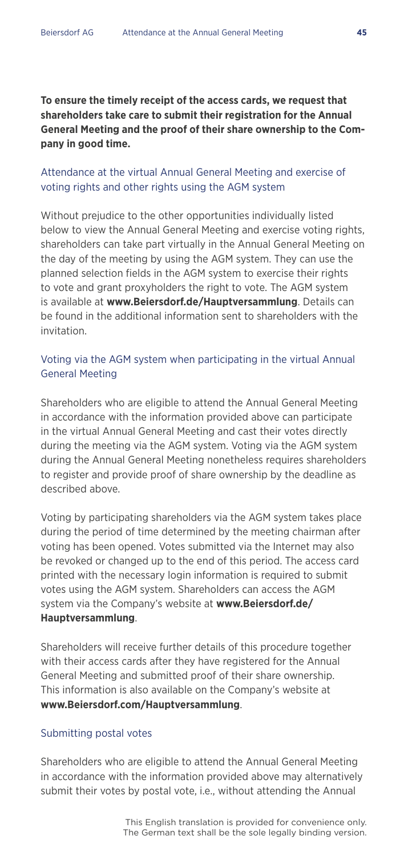**To ensure the timely receipt of the access cards, we request that shareholders take care to submit their registration for the Annual General Meeting and the proof of their share ownership to the Company in good time.**

#### Attendance at the virtual Annual General Meeting and exercise of voting rights and other rights using the AGM system

Without prejudice to the other opportunities individually listed below to view the Annual General Meeting and exercise voting rights, shareholders can take part virtually in the Annual General Meeting on the day of the meeting by using the AGM system. They can use the planned selection fields in the AGM system to exercise their rights to vote and grant proxyholders the right to vote. The AGM system is available at **www.Beiersdorf.de/Hauptversammlung**. Details can be found in the additional information sent to shareholders with the invitation.

#### Voting via the AGM system when participating in the virtual Annual General Meeting

Shareholders who are eligible to attend the Annual General Meeting in accordance with the information provided above can participate in the virtual Annual General Meeting and cast their votes directly during the meeting via the AGM system. Voting via the AGM system during the Annual General Meeting nonetheless requires shareholders to register and provide proof of share ownership by the deadline as described above.

Voting by participating shareholders via the AGM system takes place during the period of time determined by the meeting chairman after voting has been opened. Votes submitted via the Internet may also be revoked or changed up to the end of this period. The access card printed with the necessary login information is required to submit votes using the AGM system. Shareholders can access the AGM system via the Company's website at **www.Beiersdorf.de/ Hauptversammlung**.

Shareholders will receive further details of this procedure together with their access cards after they have registered for the Annual General Meeting and submitted proof of their share ownership. This information is also available on the Company's website at **www.Beiersdorf.com/Hauptversammlung**.

#### Submitting postal votes

Shareholders who are eligible to attend the Annual General Meeting in accordance with the information provided above may alternatively submit their votes by postal vote, i.e., without attending the Annual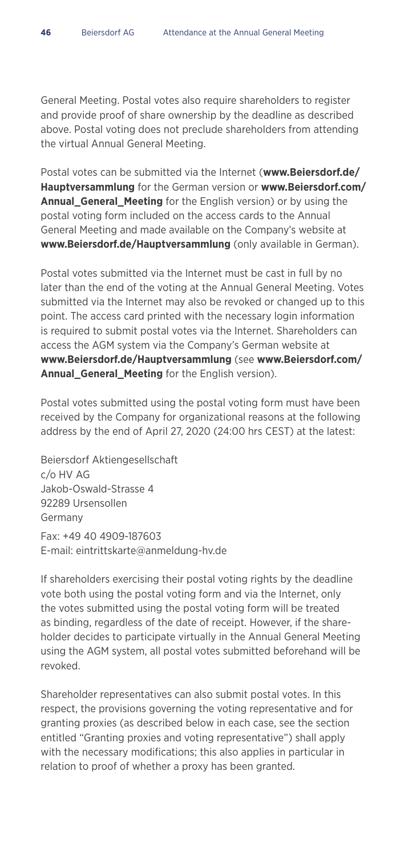General Meeting. Postal votes also require shareholders to register and provide proof of share ownership by the deadline as described above. Postal voting does not preclude shareholders from attending the virtual Annual General Meeting.

Postal votes can be submitted via the Internet (**www.Beiersdorf.de/ Hauptversammlung** for the German version or **www.Beiersdorf.com/ Annual\_General\_Meeting** for the English version) or by using the postal voting form included on the access cards to the Annual General Meeting and made available on the Company's website at **www.Beiersdorf.de/Hauptversammlung** (only available in German).

Postal votes submitted via the Internet must be cast in full by no later than the end of the voting at the Annual General Meeting. Votes submitted via the Internet may also be revoked or changed up to this point. The access card printed with the necessary login information is required to submit postal votes via the Internet. Shareholders can access the AGM system via the Company's German website at **www.Beiersdorf.de/Hauptversammlung** (see **www.Beiersdorf.com/ Annual\_General\_Meeting** for the English version).

Postal votes submitted using the postal voting form must have been received by the Company for organizational reasons at the following address by the end of April 27, 2020 (24:00 hrs CEST) at the latest:

Beiersdorf Aktiengesellschaft c/o HV AG Jakob-Oswald-Strasse 4 92289 Ursensollen Germany Fax: +49 40 4909-187603 E-mail: eintrittskarte@anmeldung-hv.de

If shareholders exercising their postal voting rights by the deadline vote both using the postal voting form and via the Internet, only the votes submitted using the postal voting form will be treated as binding, regardless of the date of receipt. However, if the shareholder decides to participate virtually in the Annual General Meeting using the AGM system, all postal votes submitted beforehand will be revoked.

Shareholder representatives can also submit postal votes. In this respect, the provisions governing the voting representative and for granting proxies (as described below in each case, see the section entitled "Granting proxies and voting representative") shall apply with the necessary modifications; this also applies in particular in relation to proof of whether a proxy has been granted.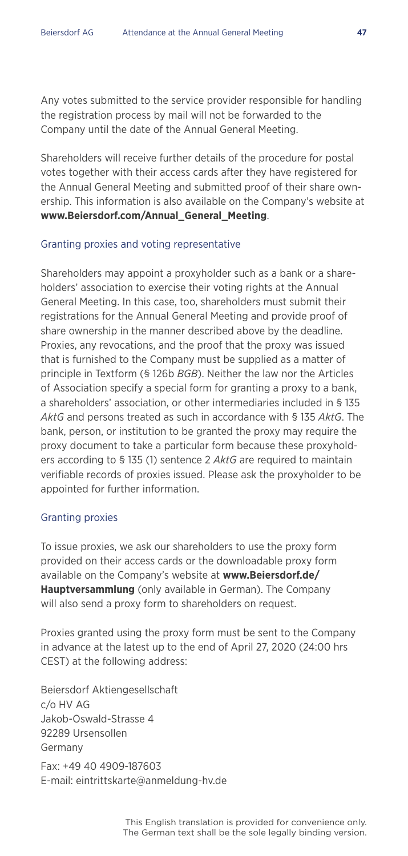Any votes submitted to the service provider responsible for handling the registration process by mail will not be forwarded to the Company until the date of the Annual General Meeting.

Shareholders will receive further details of the procedure for postal votes together with their access cards after they have registered for the Annual General Meeting and submitted proof of their share ownership. This information is also available on the Company's website at **www.Beiersdorf.com/Annual\_General\_Meeting**.

#### Granting proxies and voting representative

Shareholders may appoint a proxyholder such as a bank or a shareholders' association to exercise their voting rights at the Annual General Meeting. In this case, too, shareholders must submit their registrations for the Annual General Meeting and provide proof of share ownership in the manner described above by the deadline. Proxies, any revocations, and the proof that the proxy was issued that is furnished to the Company must be supplied as a matter of principle in Textform (§ 126b *BGB*). Neither the law nor the Articles of Association specify a special form for granting a proxy to a bank, a shareholders' association, or other intermediaries included in § 135 *AktG* and persons treated as such in accordance with § 135 *AktG*. The bank, person, or institution to be granted the proxy may require the proxy document to take a particular form because these proxyholders according to § 135 (1) sentence 2 *AktG* are required to maintain verifiable records of proxies issued. Please ask the proxyholder to be appointed for further information.

#### Granting proxies

To issue proxies, we ask our shareholders to use the proxy form provided on their access cards or the downloadable proxy form available on the Company's website at **www.Beiersdorf.de/ Hauptversammlung** (only available in German). The Company will also send a proxy form to shareholders on request.

Proxies granted using the proxy form must be sent to the Company in advance at the latest up to the end of April 27, 2020 (24:00 hrs CEST) at the following address:

Beiersdorf Aktiengesellschaft c/o HV AG Jakob-Oswald-Strasse 4 92289 Ursensollen Germany Fax: +49 40 4909-187603 E-mail: eintrittskarte@anmeldung-hv.de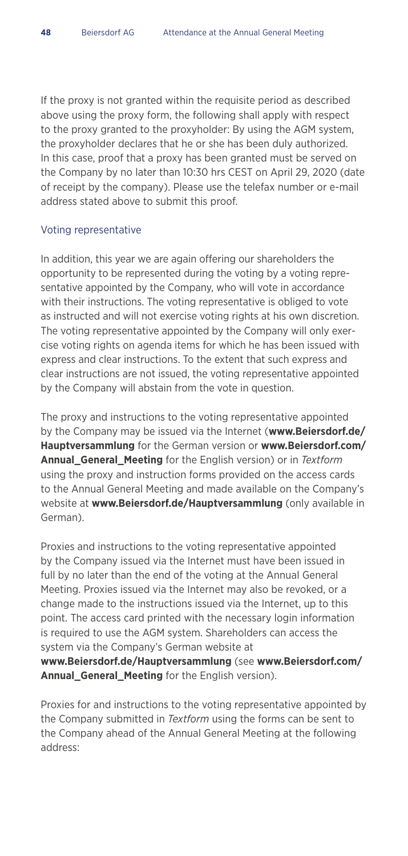If the proxy is not granted within the requisite period as described above using the proxy form, the following shall apply with respect to the proxy granted to the proxyholder: By using the AGM system, the proxyholder declares that he or she has been duly authorized. In this case, proof that a proxy has been granted must be served on the Company by no later than 10:30 hrs CEST on April 29, 2020 (date of receipt by the company). Please use the telefax number or e-mail address stated above to submit this proof.

#### Voting representative

In addition, this year we are again offering our shareholders the opportunity to be represented during the voting by a voting representative appointed by the Company, who will vote in accordance with their instructions. The voting representative is obliged to vote as instructed and will not exercise voting rights at his own discretion. The voting representative appointed by the Company will only exercise voting rights on agenda items for which he has been issued with express and clear instructions. To the extent that such express and clear instructions are not issued, the voting representative appointed by the Company will abstain from the vote in question.

The proxy and instructions to the voting representative appointed by the Company may be issued via the Internet (**www.Beiersdorf.de/ Hauptversammlung** for the German version or **www.Beiersdorf.com/ Annual\_General\_Meeting** for the English version) or in *Textform* using the proxy and instruction forms provided on the access cards to the Annual General Meeting and made available on the Company's website at **www.Beiersdorf.de/Hauptversammlung** (only available in German).

Proxies and instructions to the voting representative appointed by the Company issued via the Internet must have been issued in full by no later than the end of the voting at the Annual General Meeting. Proxies issued via the Internet may also be revoked, or a change made to the instructions issued via the Internet, up to this point. The access card printed with the necessary login information is required to use the AGM system. Shareholders can access the system via the Company's German website at **www.Beiersdorf.de/Hauptversammlung** (see **www.Beiersdorf.com/**

**Annual General Meeting** for the English version).

Proxies for and instructions to the voting representative appointed by the Company submitted in *Textform* using the forms can be sent to the Company ahead of the Annual General Meeting at the following address: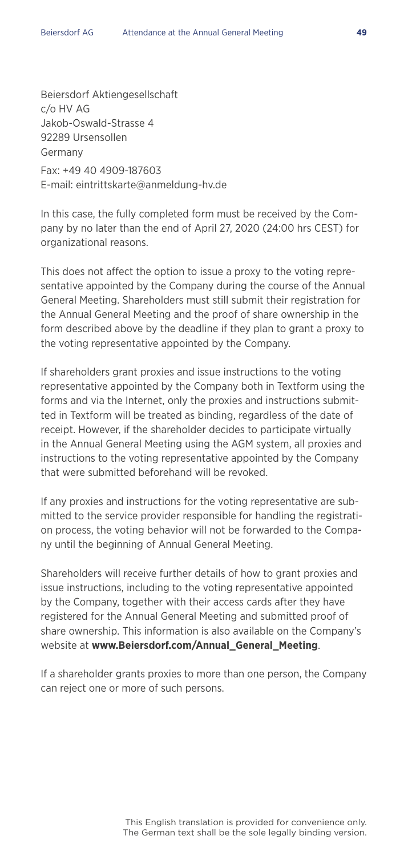Beiersdorf Aktiengesellschaft c/o HV AG Jakob-Oswald-Strasse 4 92289 Ursensollen Germany Fax: +49 40 4909-187603 E-mail: eintrittskarte@anmeldung-hv.de

In this case, the fully completed form must be received by the Company by no later than the end of April 27, 2020 (24:00 hrs CEST) for organizational reasons.

This does not affect the option to issue a proxy to the voting representative appointed by the Company during the course of the Annual General Meeting. Shareholders must still submit their registration for the Annual General Meeting and the proof of share ownership in the form described above by the deadline if they plan to grant a proxy to the voting representative appointed by the Company.

If shareholders grant proxies and issue instructions to the voting representative appointed by the Company both in Textform using the forms and via the Internet, only the proxies and instructions submitted in Textform will be treated as binding, regardless of the date of receipt. However, if the shareholder decides to participate virtually in the Annual General Meeting using the AGM system, all proxies and instructions to the voting representative appointed by the Company that were submitted beforehand will be revoked.

If any proxies and instructions for the voting representative are submitted to the service provider responsible for handling the registration process, the voting behavior will not be forwarded to the Company until the beginning of Annual General Meeting.

Shareholders will receive further details of how to grant proxies and issue instructions, including to the voting representative appointed by the Company, together with their access cards after they have registered for the Annual General Meeting and submitted proof of share ownership. This information is also available on the Company's website at **www.Beiersdorf.com/Annual\_General\_Meeting**.

If a shareholder grants proxies to more than one person, the Company can reject one or more of such persons.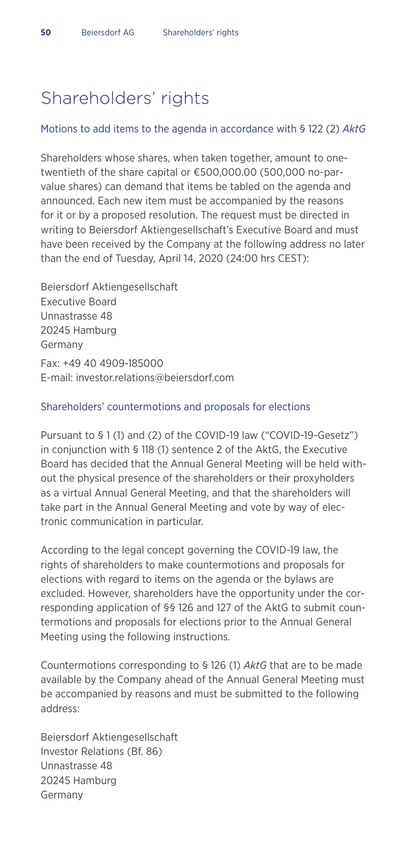### Shareholders' rights

#### Motions to add items to the agenda in accordance with § 122 (2) *AktG*

Shareholders whose shares, when taken together, amount to onetwentieth of the share capital or €500,000.00 (500,000 no-parvalue shares) can demand that items be tabled on the agenda and announced. Each new item must be accompanied by the reasons for it or by a proposed resolution. The request must be directed in writing to Beiersdorf Aktiengesellschaft's Executive Board and must have been received by the Company at the following address no later than the end of Tuesday, April 14, 2020 (24:00 hrs CEST):

Beiersdorf Aktiengesellschaft Executive Board Unnastrasse 48 20245 Hamburg Germany Fax: +49 40 4909-185000 E-mail: investor.relations@beiersdorf.com

#### Shareholders' countermotions and proposals for elections

Pursuant to § 1 (1) and (2) of the COVID-19 law ("COVID-19-Gesetz") in conjunction with § 118 (1) sentence 2 of the AktG, the Executive Board has decided that the Annual General Meeting will be held without the physical presence of the shareholders or their proxyholders as a virtual Annual General Meeting, and that the shareholders will take part in the Annual General Meeting and vote by way of electronic communication in particular.

According to the legal concept governing the COVID-19 law, the rights of shareholders to make countermotions and proposals for elections with regard to items on the agenda or the bylaws are excluded. However, shareholders have the opportunity under the corresponding application of §§ 126 and 127 of the AktG to submit countermotions and proposals for elections prior to the Annual General Meeting using the following instructions.

Countermotions corresponding to § 126 (1) *AktG* that are to be made available by the Company ahead of the Annual General Meeting must be accompanied by reasons and must be submitted to the following address:

Beiersdorf Aktiengesellschaft Investor Relations (Bf. 86) Unnastrasse 48 20245 Hamburg Germany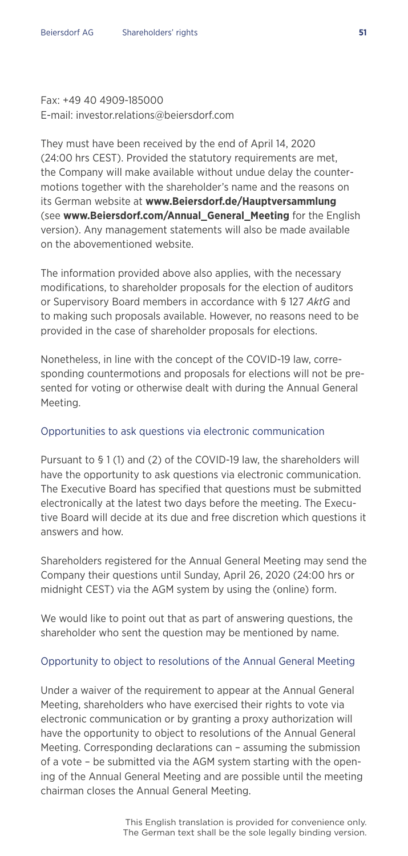#### Fax: +49 40 4909-185000 E-mail: investor.relations@beiersdorf.com

They must have been received by the end of April 14, 2020 (24:00 hrs CEST). Provided the statutory requirements are met, the Company will make available without undue delay the countermotions together with the shareholder's name and the reasons on its German website at **www.Beiersdorf.de/Hauptversammlung** (see **www.Beiersdorf.com/Annual\_General\_Meeting** for the English version). Any management statements will also be made available on the abovementioned website.

The information provided above also applies, with the necessary modifications, to shareholder proposals for the election of auditors or Supervisory Board members in accordance with § 127 *AktG* and to making such proposals available. However, no reasons need to be provided in the case of shareholder proposals for elections.

Nonetheless, in line with the concept of the COVID-19 law, corresponding countermotions and proposals for elections will not be presented for voting or otherwise dealt with during the Annual General Meeting.

#### Opportunities to ask questions via electronic communication

Pursuant to § 1 (1) and (2) of the COVID-19 law, the shareholders will have the opportunity to ask questions via electronic communication. The Executive Board has specified that questions must be submitted electronically at the latest two days before the meeting. The Executive Board will decide at its due and free discretion which questions it answers and how.

Shareholders registered for the Annual General Meeting may send the Company their questions until Sunday, April 26, 2020 (24:00 hrs or midnight CEST) via the AGM system by using the (online) form.

We would like to point out that as part of answering questions, the shareholder who sent the question may be mentioned by name.

#### Opportunity to object to resolutions of the Annual General Meeting

Under a waiver of the requirement to appear at the Annual General Meeting, shareholders who have exercised their rights to vote via electronic communication or by granting a proxy authorization will have the opportunity to object to resolutions of the Annual General Meeting. Corresponding declarations can – assuming the submission of a vote – be submitted via the AGM system starting with the opening of the Annual General Meeting and are possible until the meeting chairman closes the Annual General Meeting.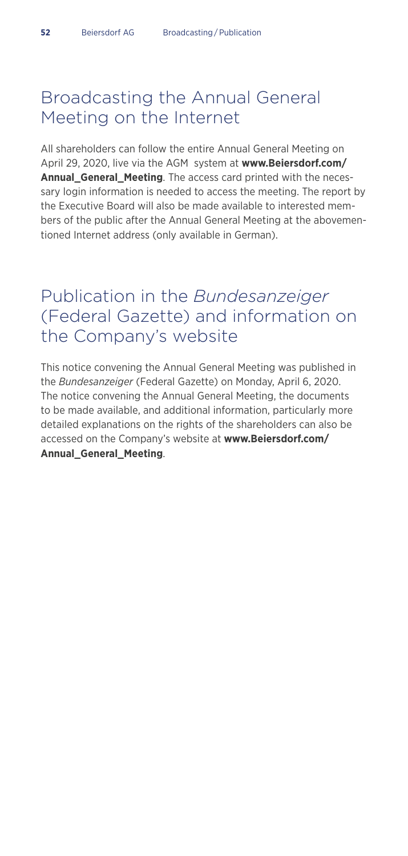### Broadcasting the Annual General Meeting on the Internet

All shareholders can follow the entire Annual General Meeting on April 29, 2020, live via the AGM system at **www.Beiersdorf.com/ Annual\_General\_Meeting**. The access card printed with the necessary login information is needed to access the meeting. The report by the Executive Board will also be made available to interested members of the public after the Annual General Meeting at the abovementioned Internet address (only available in German).

### Publication in the *Bundesanzeiger* (Federal Gazette) and information on the Company's website

This notice convening the Annual General Meeting was published in the *Bundesanzeiger* (Federal Gazette) on Monday, April 6, 2020. The notice convening the Annual General Meeting, the documents to be made available, and additional information, particularly more detailed explanations on the rights of the shareholders can also be accessed on the Company's website at **www.Beiersdorf.com/ Annual\_General\_Meeting**.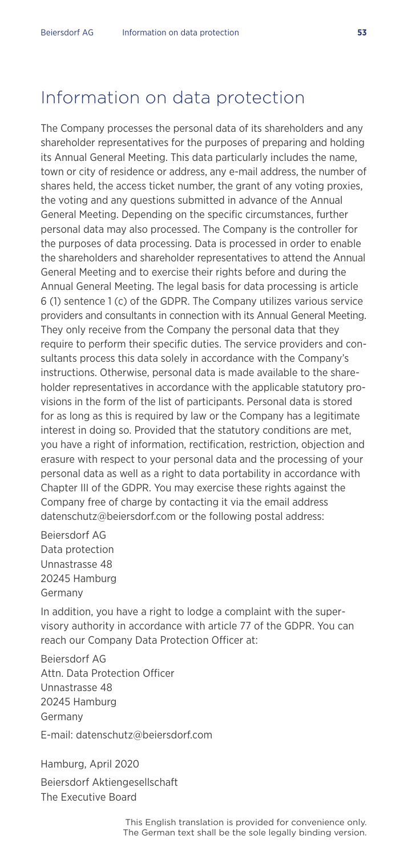### Information on data protection

The Company processes the personal data of its shareholders and any shareholder representatives for the purposes of preparing and holding its Annual General Meeting. This data particularly includes the name, town or city of residence or address, any e-mail address, the number of shares held, the access ticket number, the grant of any voting proxies, the voting and any questions submitted in advance of the Annual General Meeting. Depending on the specific circumstances, further personal data may also processed. The Company is the controller for the purposes of data processing. Data is processed in order to enable the shareholders and shareholder representatives to attend the Annual General Meeting and to exercise their rights before and during the Annual General Meeting. The legal basis for data processing is article 6 (1) sentence 1 (c) of the GDPR. The Company utilizes various service providers and consultants in connection with its Annual General Meeting. They only receive from the Company the personal data that they require to perform their specific duties. The service providers and consultants process this data solely in accordance with the Company's instructions. Otherwise, personal data is made available to the shareholder representatives in accordance with the applicable statutory provisions in the form of the list of participants. Personal data is stored for as long as this is required by law or the Company has a legitimate interest in doing so. Provided that the statutory conditions are met, you have a right of information, rectification, restriction, objection and erasure with respect to your personal data and the processing of your personal data as well as a right to data portability in accordance with Chapter III of the GDPR. You may exercise these rights against the Company free of charge by contacting it via the email address datenschutz@beiersdorf.com or the following postal address:

Beiersdorf AG Data protection Unnastrasse 48 20245 Hamburg Germany

In addition, you have a right to lodge a complaint with the supervisory authority in accordance with article 77 of the GDPR. You can reach our Company Data Protection Officer at:

Beiersdorf AG Attn. Data Protection Officer Unnastrasse 48 20245 Hamburg Germany E-mail: datenschutz@beiersdorf.com

Hamburg, April 2020 Beiersdorf Aktiengesellschaft The Executive Board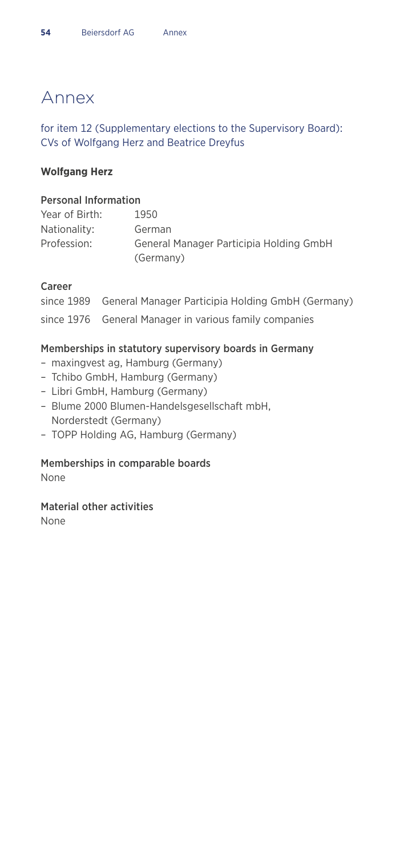### Annex

#### for item 12 (Supplementary elections to the Supervisory Board): CVs of Wolfgang Herz and Beatrice Dreyfus

#### **Wolfgang Herz**

#### Personal Information

| Year of Birth: | 1950                                    |
|----------------|-----------------------------------------|
| Nationality:   | German                                  |
| Profession:    | General Manager Participia Holding GmbH |
|                | (Germany)                               |

#### Career

| since 1989 General Manager Participia Holding GmbH (Germany) |
|--------------------------------------------------------------|
| since 1976 General Manager in various family companies       |

#### Memberships in statutory supervisory boards in Germany

- maxingvest ag, Hamburg (Germany)
- Tchibo GmbH, Hamburg (Germany)
- Libri GmbH, Hamburg (Germany)
- Blume 2000 Blumen-Handelsgesellschaft mbH, Norderstedt (Germany)
- TOPP Holding AG, Hamburg (Germany)

#### Memberships in comparable boards

None

#### Material other activities

None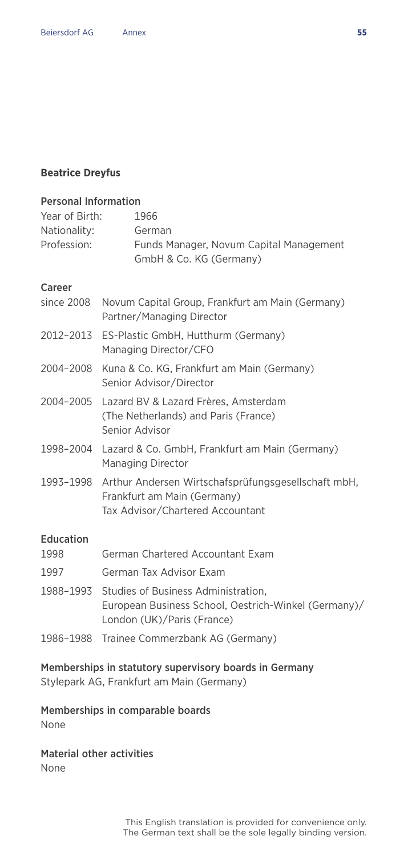#### **Beatrice Dreyfus**

Career

### Personal Information Year of Birth: 1966 Nationality: German Profession: Funds Manager, Novum Capital Management GmbH & Co. KG (Germany)

| since 2008               | Novum Capital Group, Frankfurt am Main (Germany)<br>Partner/Managing Director                                             |
|--------------------------|---------------------------------------------------------------------------------------------------------------------------|
|                          | 2012-2013 ES-Plastic GmbH, Hutthurm (Germany)<br>Managing Director/CFO                                                    |
| 2004-2008                | Kuna & Co. KG, Frankfurt am Main (Germany)<br>Senior Advisor/Director                                                     |
|                          | 2004-2005 Lazard BV & Lazard Frères, Amsterdam<br>(The Netherlands) and Paris (France)<br>Senior Advisor                  |
|                          | 1998-2004 Lazard & Co. GmbH, Frankfurt am Main (Germany)<br>Managing Director                                             |
| 1993–1998                | Arthur Andersen Wirtschafsprüfungsgesellschaft mbH,<br>Frankfurt am Main (Germany)<br>Tax Advisor/Chartered Accountant    |
| <b>Education</b><br>1998 | German Chartered Accountant Exam                                                                                          |
| 1997                     | German Tax Advisor Exam                                                                                                   |
| 1988-1993                | Studies of Business Administration,<br>European Business School, Oestrich-Winkel (Germany)/<br>London (UK)/Paris (France) |
|                          |                                                                                                                           |

1986–1988 Trainee Commerzbank AG (Germany)

#### Memberships in statutory supervisory boards in Germany

Stylepark AG, Frankfurt am Main (Germany)

#### Memberships in comparable boards

None

### Material other activities

None